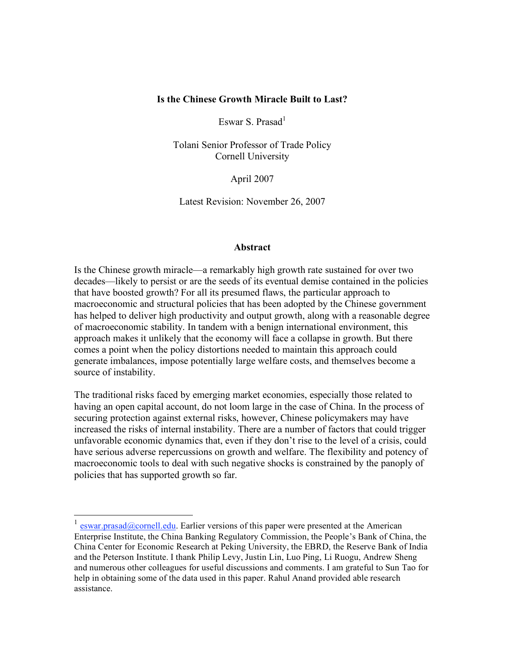#### **Is the Chinese Growth Miracle Built to Last?**

Eswar S. Prasad $<sup>1</sup>$ </sup>

Tolani Senior Professor of Trade Policy Cornell University

April 2007

Latest Revision: November 26, 2007

#### **Abstract**

Is the Chinese growth miracle—a remarkably high growth rate sustained for over two decades—likely to persist or are the seeds of its eventual demise contained in the policies that have boosted growth? For all its presumed flaws, the particular approach to macroeconomic and structural policies that has been adopted by the Chinese government has helped to deliver high productivity and output growth, along with a reasonable degree of macroeconomic stability. In tandem with a benign international environment, this approach makes it unlikely that the economy will face a collapse in growth. But there comes a point when the policy distortions needed to maintain this approach could generate imbalances, impose potentially large welfare costs, and themselves become a source of instability.

The traditional risks faced by emerging market economies, especially those related to having an open capital account, do not loom large in the case of China. In the process of securing protection against external risks, however, Chinese policymakers may have increased the risks of internal instability. There are a number of factors that could trigger unfavorable economic dynamics that, even if they don't rise to the level of a crisis, could have serious adverse repercussions on growth and welfare. The flexibility and potency of macroeconomic tools to deal with such negative shocks is constrained by the panoply of policies that has supported growth so far.

<sup>&</sup>lt;sup>1</sup> eswar.prasad@cornell.edu. Earlier versions of this paper were presented at the American Enterprise Institute, the China Banking Regulatory Commission, the People's Bank of China, the China Center for Economic Research at Peking University, the EBRD, the Reserve Bank of India and the Peterson Institute. I thank Philip Levy, Justin Lin, Luo Ping, Li Ruogu, Andrew Sheng and numerous other colleagues for useful discussions and comments. I am grateful to Sun Tao for help in obtaining some of the data used in this paper. Rahul Anand provided able research assistance.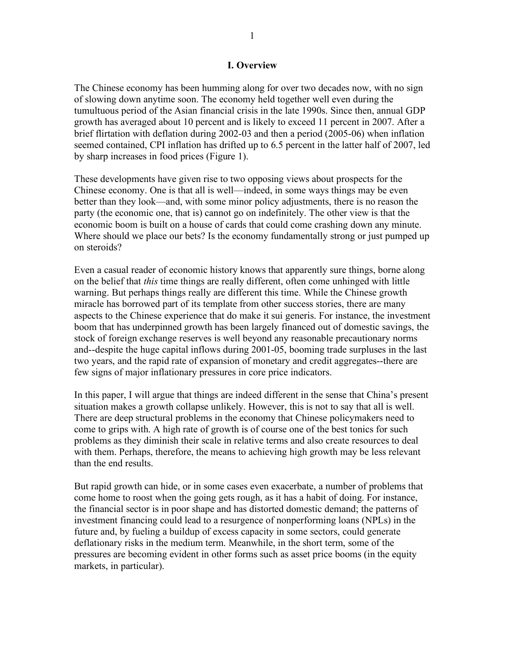#### **I. Overview**

The Chinese economy has been humming along for over two decades now, with no sign of slowing down anytime soon. The economy held together well even during the tumultuous period of the Asian financial crisis in the late 1990s. Since then, annual GDP growth has averaged about 10 percent and is likely to exceed 11 percent in 2007. After a brief flirtation with deflation during 2002-03 and then a period (2005-06) when inflation seemed contained, CPI inflation has drifted up to 6.5 percent in the latter half of 2007, led by sharp increases in food prices (Figure 1).

These developments have given rise to two opposing views about prospects for the Chinese economy. One is that all is well—indeed, in some ways things may be even better than they look—and, with some minor policy adjustments, there is no reason the party (the economic one, that is) cannot go on indefinitely. The other view is that the economic boom is built on a house of cards that could come crashing down any minute. Where should we place our bets? Is the economy fundamentally strong or just pumped up on steroids?

Even a casual reader of economic history knows that apparently sure things, borne along on the belief that *this* time things are really different, often come unhinged with little warning. But perhaps things really are different this time. While the Chinese growth miracle has borrowed part of its template from other success stories, there are many aspects to the Chinese experience that do make it sui generis. For instance, the investment boom that has underpinned growth has been largely financed out of domestic savings, the stock of foreign exchange reserves is well beyond any reasonable precautionary norms and--despite the huge capital inflows during 2001-05, booming trade surpluses in the last two years, and the rapid rate of expansion of monetary and credit aggregates--there are few signs of major inflationary pressures in core price indicators.

In this paper, I will argue that things are indeed different in the sense that China's present situation makes a growth collapse unlikely. However, this is not to say that all is well. There are deep structural problems in the economy that Chinese policymakers need to come to grips with. A high rate of growth is of course one of the best tonics for such problems as they diminish their scale in relative terms and also create resources to deal with them. Perhaps, therefore, the means to achieving high growth may be less relevant than the end results.

But rapid growth can hide, or in some cases even exacerbate, a number of problems that come home to roost when the going gets rough, as it has a habit of doing. For instance, the financial sector is in poor shape and has distorted domestic demand; the patterns of investment financing could lead to a resurgence of nonperforming loans (NPLs) in the future and, by fueling a buildup of excess capacity in some sectors, could generate deflationary risks in the medium term. Meanwhile, in the short term, some of the pressures are becoming evident in other forms such as asset price booms (in the equity markets, in particular).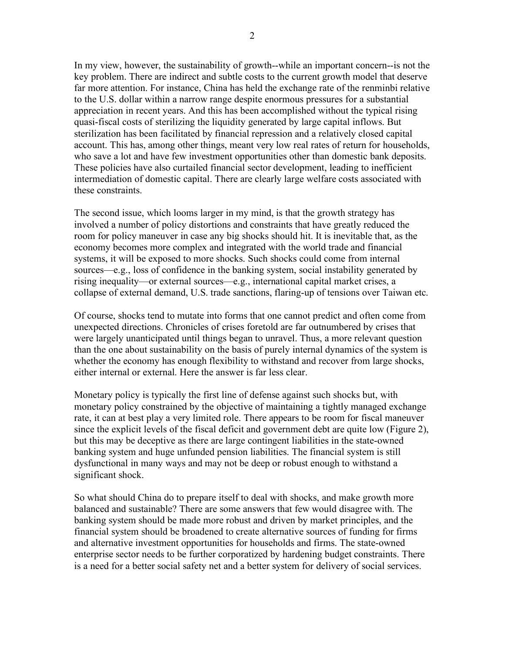In my view, however, the sustainability of growth--while an important concern--is not the key problem. There are indirect and subtle costs to the current growth model that deserve far more attention. For instance, China has held the exchange rate of the renminbi relative to the U.S. dollar within a narrow range despite enormous pressures for a substantial appreciation in recent years. And this has been accomplished without the typical rising quasi-fiscal costs of sterilizing the liquidity generated by large capital inflows. But sterilization has been facilitated by financial repression and a relatively closed capital account. This has, among other things, meant very low real rates of return for households, who save a lot and have few investment opportunities other than domestic bank deposits. These policies have also curtailed financial sector development, leading to inefficient intermediation of domestic capital. There are clearly large welfare costs associated with these constraints.

The second issue, which looms larger in my mind, is that the growth strategy has involved a number of policy distortions and constraints that have greatly reduced the room for policy maneuver in case any big shocks should hit. It is inevitable that, as the economy becomes more complex and integrated with the world trade and financial systems, it will be exposed to more shocks. Such shocks could come from internal sources—e.g., loss of confidence in the banking system, social instability generated by rising inequality—or external sources—e.g., international capital market crises, a collapse of external demand, U.S. trade sanctions, flaring-up of tensions over Taiwan etc.

Of course, shocks tend to mutate into forms that one cannot predict and often come from unexpected directions. Chronicles of crises foretold are far outnumbered by crises that were largely unanticipated until things began to unravel. Thus, a more relevant question than the one about sustainability on the basis of purely internal dynamics of the system is whether the economy has enough flexibility to withstand and recover from large shocks, either internal or external. Here the answer is far less clear.

Monetary policy is typically the first line of defense against such shocks but, with monetary policy constrained by the objective of maintaining a tightly managed exchange rate, it can at best play a very limited role. There appears to be room for fiscal maneuver since the explicit levels of the fiscal deficit and government debt are quite low (Figure 2), but this may be deceptive as there are large contingent liabilities in the state-owned banking system and huge unfunded pension liabilities. The financial system is still dysfunctional in many ways and may not be deep or robust enough to withstand a significant shock.

So what should China do to prepare itself to deal with shocks, and make growth more balanced and sustainable? There are some answers that few would disagree with. The banking system should be made more robust and driven by market principles, and the financial system should be broadened to create alternative sources of funding for firms and alternative investment opportunities for households and firms. The state-owned enterprise sector needs to be further corporatized by hardening budget constraints. There is a need for a better social safety net and a better system for delivery of social services.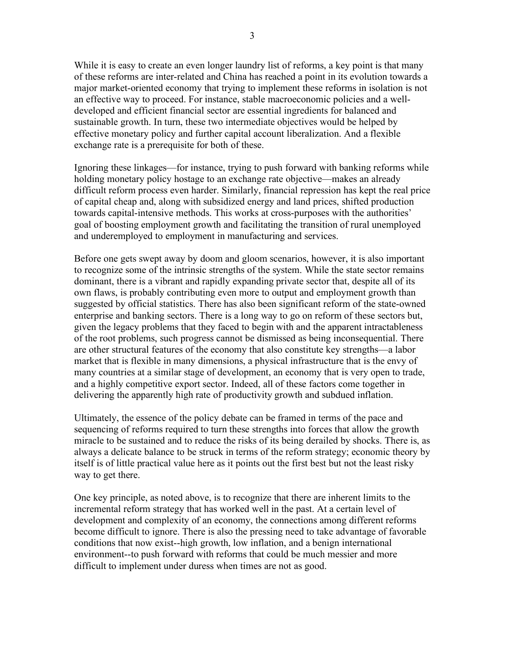While it is easy to create an even longer laundry list of reforms, a key point is that many of these reforms are inter-related and China has reached a point in its evolution towards a major market-oriented economy that trying to implement these reforms in isolation is not an effective way to proceed. For instance, stable macroeconomic policies and a welldeveloped and efficient financial sector are essential ingredients for balanced and sustainable growth. In turn, these two intermediate objectives would be helped by effective monetary policy and further capital account liberalization. And a flexible exchange rate is a prerequisite for both of these.

Ignoring these linkages—for instance, trying to push forward with banking reforms while holding monetary policy hostage to an exchange rate objective—makes an already difficult reform process even harder. Similarly, financial repression has kept the real price of capital cheap and, along with subsidized energy and land prices, shifted production towards capital-intensive methods. This works at cross-purposes with the authorities' goal of boosting employment growth and facilitating the transition of rural unemployed and underemployed to employment in manufacturing and services.

Before one gets swept away by doom and gloom scenarios, however, it is also important to recognize some of the intrinsic strengths of the system. While the state sector remains dominant, there is a vibrant and rapidly expanding private sector that, despite all of its own flaws, is probably contributing even more to output and employment growth than suggested by official statistics. There has also been significant reform of the state-owned enterprise and banking sectors. There is a long way to go on reform of these sectors but, given the legacy problems that they faced to begin with and the apparent intractableness of the root problems, such progress cannot be dismissed as being inconsequential. There are other structural features of the economy that also constitute key strengths—a labor market that is flexible in many dimensions, a physical infrastructure that is the envy of many countries at a similar stage of development, an economy that is very open to trade, and a highly competitive export sector. Indeed, all of these factors come together in delivering the apparently high rate of productivity growth and subdued inflation.

Ultimately, the essence of the policy debate can be framed in terms of the pace and sequencing of reforms required to turn these strengths into forces that allow the growth miracle to be sustained and to reduce the risks of its being derailed by shocks. There is, as always a delicate balance to be struck in terms of the reform strategy; economic theory by itself is of little practical value here as it points out the first best but not the least risky way to get there.

One key principle, as noted above, is to recognize that there are inherent limits to the incremental reform strategy that has worked well in the past. At a certain level of development and complexity of an economy, the connections among different reforms become difficult to ignore. There is also the pressing need to take advantage of favorable conditions that now exist--high growth, low inflation, and a benign international environment--to push forward with reforms that could be much messier and more difficult to implement under duress when times are not as good.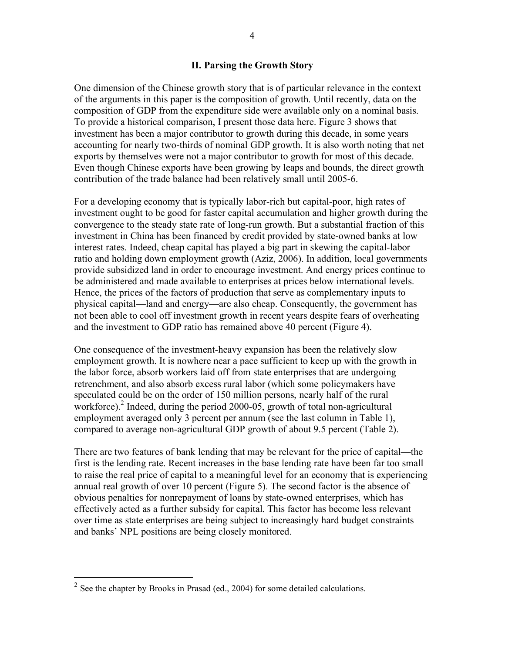### **II. Parsing the Growth Story**

One dimension of the Chinese growth story that is of particular relevance in the context of the arguments in this paper is the composition of growth. Until recently, data on the composition of GDP from the expenditure side were available only on a nominal basis. To provide a historical comparison, I present those data here. Figure 3 shows that investment has been a major contributor to growth during this decade, in some years accounting for nearly two-thirds of nominal GDP growth. It is also worth noting that net exports by themselves were not a major contributor to growth for most of this decade. Even though Chinese exports have been growing by leaps and bounds, the direct growth contribution of the trade balance had been relatively small until 2005-6.

For a developing economy that is typically labor-rich but capital-poor, high rates of investment ought to be good for faster capital accumulation and higher growth during the convergence to the steady state rate of long-run growth. But a substantial fraction of this investment in China has been financed by credit provided by state-owned banks at low interest rates. Indeed, cheap capital has played a big part in skewing the capital-labor ratio and holding down employment growth (Aziz, 2006). In addition, local governments provide subsidized land in order to encourage investment. And energy prices continue to be administered and made available to enterprises at prices below international levels. Hence, the prices of the factors of production that serve as complementary inputs to physical capital—land and energy—are also cheap. Consequently, the government has not been able to cool off investment growth in recent years despite fears of overheating and the investment to GDP ratio has remained above 40 percent (Figure 4).

One consequence of the investment-heavy expansion has been the relatively slow employment growth. It is nowhere near a pace sufficient to keep up with the growth in the labor force, absorb workers laid off from state enterprises that are undergoing retrenchment, and also absorb excess rural labor (which some policymakers have speculated could be on the order of 150 million persons, nearly half of the rural workforce). <sup>2</sup> Indeed, during the period 2000-05, growth of total non-agricultural employment averaged only 3 percent per annum (see the last column in Table 1), compared to average non-agricultural GDP growth of about 9.5 percent (Table 2).

There are two features of bank lending that may be relevant for the price of capital—the first is the lending rate. Recent increases in the base lending rate have been far too small to raise the real price of capital to a meaningful level for an economy that is experiencing annual real growth of over 10 percent (Figure 5). The second factor is the absence of obvious penalties for nonrepayment of loans by state-owned enterprises, which has effectively acted as a further subsidy for capital. This factor has become less relevant over time as state enterprises are being subject to increasingly hard budget constraints and banks' NPL positions are being closely monitored.

 $2$  See the chapter by Brooks in Prasad (ed., 2004) for some detailed calculations.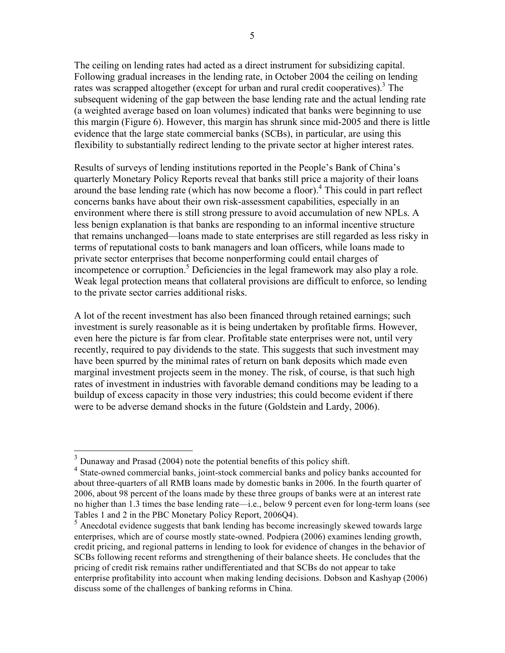The ceiling on lending rates had acted as a direct instrument for subsidizing capital. Following gradual increases in the lending rate, in October 2004 the ceiling on lending rates was scrapped altogether (except for urban and rural credit cooperatives).<sup>3</sup> The subsequent widening of the gap between the base lending rate and the actual lending rate (a weighted average based on loan volumes) indicated that banks were beginning to use this margin (Figure 6). However, this margin has shrunk since mid-2005 and there is little evidence that the large state commercial banks (SCBs), in particular, are using this flexibility to substantially redirect lending to the private sector at higher interest rates.

Results of surveys of lending institutions reported in the People's Bank of China's quarterly Monetary Policy Reports reveal that banks still price a majority of their loans around the base lending rate (which has now become a floor). <sup>4</sup> This could in part reflect concerns banks have about their own risk-assessment capabilities, especially in an environment where there is still strong pressure to avoid accumulation of new NPLs. A less benign explanation is that banks are responding to an informal incentive structure that remains unchanged—loans made to state enterprises are still regarded as less risky in terms of reputational costs to bank managers and loan officers, while loans made to private sector enterprises that become nonperforming could entail charges of incompetence or corruption.<sup>5</sup> Deficiencies in the legal framework may also play a role. Weak legal protection means that collateral provisions are difficult to enforce, so lending to the private sector carries additional risks.

A lot of the recent investment has also been financed through retained earnings; such investment is surely reasonable as it is being undertaken by profitable firms. However, even here the picture is far from clear. Profitable state enterprises were not, until very recently, required to pay dividends to the state. This suggests that such investment may have been spurred by the minimal rates of return on bank deposits which made even marginal investment projects seem in the money. The risk, of course, is that such high rates of investment in industries with favorable demand conditions may be leading to a buildup of excess capacity in those very industries; this could become evident if there were to be adverse demand shocks in the future (Goldstein and Lardy, 2006).

 $3$  Dunaway and Prasad (2004) note the potential benefits of this policy shift.<br> $4$  State-owned commercial banks, joint-stock commercial banks and policy banks accounted for about three-quarters of all RMB loans made by domestic banks in 2006. In the fourth quarter of 2006, about 98 percent of the loans made by these three groups of banks were at an interest rate no higher than 1.3 times the base lending rate—i.e., below 9 percent even for long-term loans (see

Tables 1 and 2 in the PBC Monetary Policy Report, 2006Q4).<br><sup>5</sup> Anecdotal evidence suggests that bank lending has become increasingly skewed towards large enterprises, which are of course mostly state-owned. Podpiera (2006) examines lending growth, credit pricing, and regional patterns in lending to look for evidence of changes in the behavior of SCBs following recent reforms and strengthening of their balance sheets. He concludes that the pricing of credit risk remains rather undifferentiated and that SCBs do not appear to take enterprise profitability into account when making lending decisions. Dobson and Kashyap (2006) discuss some of the challenges of banking reforms in China.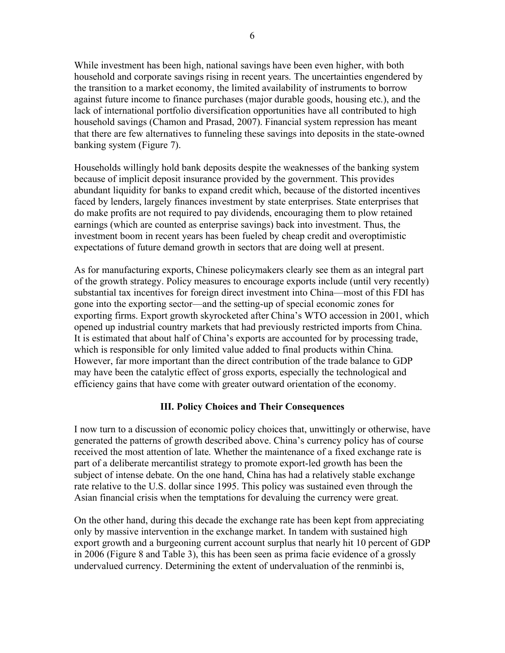While investment has been high, national savings have been even higher, with both household and corporate savings rising in recent years. The uncertainties engendered by the transition to a market economy, the limited availability of instruments to borrow against future income to finance purchases (major durable goods, housing etc.), and the lack of international portfolio diversification opportunities have all contributed to high household savings (Chamon and Prasad, 2007). Financial system repression has meant that there are few alternatives to funneling these savings into deposits in the state-owned banking system (Figure 7).

Households willingly hold bank deposits despite the weaknesses of the banking system because of implicit deposit insurance provided by the government. This provides abundant liquidity for banks to expand credit which, because of the distorted incentives faced by lenders, largely finances investment by state enterprises. State enterprises that do make profits are not required to pay dividends, encouraging them to plow retained earnings (which are counted as enterprise savings) back into investment. Thus, the investment boom in recent years has been fueled by cheap credit and overoptimistic expectations of future demand growth in sectors that are doing well at present.

As for manufacturing exports, Chinese policymakers clearly see them as an integral part of the growth strategy. Policy measures to encourage exports include (until very recently) substantial tax incentives for foreign direct investment into China—most of this FDI has gone into the exporting sector—and the setting-up of special economic zones for exporting firms. Export growth skyrocketed after China's WTO accession in 2001, which opened up industrial country markets that had previously restricted imports from China. It is estimated that about half of China's exports are accounted for by processing trade, which is responsible for only limited value added to final products within China. However, far more important than the direct contribution of the trade balance to GDP may have been the catalytic effect of gross exports, especially the technological and efficiency gains that have come with greater outward orientation of the economy.

## **III. Policy Choices and Their Consequences**

I now turn to a discussion of economic policy choices that, unwittingly or otherwise, have generated the patterns of growth described above. China's currency policy has of course received the most attention of late. Whether the maintenance of a fixed exchange rate is part of a deliberate mercantilist strategy to promote export-led growth has been the subject of intense debate. On the one hand, China has had a relatively stable exchange rate relative to the U.S. dollar since 1995. This policy was sustained even through the Asian financial crisis when the temptations for devaluing the currency were great.

On the other hand, during this decade the exchange rate has been kept from appreciating only by massive intervention in the exchange market. In tandem with sustained high export growth and a burgeoning current account surplus that nearly hit 10 percent of GDP in 2006 (Figure 8 and Table 3), this has been seen as prima facie evidence of a grossly undervalued currency. Determining the extent of undervaluation of the renminbi is,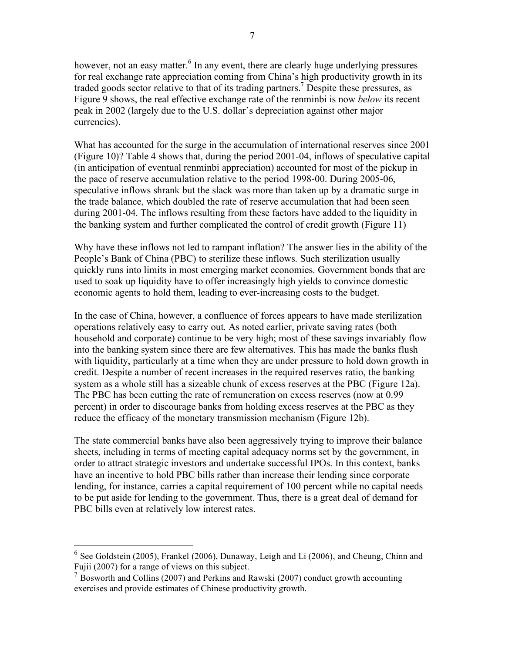however, not an easy matter.<sup>6</sup> In any event, there are clearly huge underlying pressures for real exchange rate appreciation coming from China's high productivity growth in its traded goods sector relative to that of its trading partners. <sup>7</sup> Despite these pressures, as Figure 9 shows, the real effective exchange rate of the renminbi is now *below* its recent peak in 2002 (largely due to the U.S. dollar's depreciation against other major currencies).

What has accounted for the surge in the accumulation of international reserves since 2001 (Figure 10)? Table 4 shows that, during the period 2001-04, inflows of speculative capital (in anticipation of eventual renminbi appreciation) accounted for most of the pickup in the pace of reserve accumulation relative to the period 1998-00. During 2005-06, speculative inflows shrank but the slack was more than taken up by a dramatic surge in the trade balance, which doubled the rate of reserve accumulation that had been seen during 2001-04. The inflows resulting from these factors have added to the liquidity in the banking system and further complicated the control of credit growth (Figure 11)

Why have these inflows not led to rampant inflation? The answer lies in the ability of the People's Bank of China (PBC) to sterilize these inflows. Such sterilization usually quickly runs into limits in most emerging market economies. Government bonds that are used to soak up liquidity have to offer increasingly high yields to convince domestic economic agents to hold them, leading to ever-increasing costs to the budget.

In the case of China, however, a confluence of forces appears to have made sterilization operations relatively easy to carry out. As noted earlier, private saving rates (both household and corporate) continue to be very high; most of these savings invariably flow into the banking system since there are few alternatives. This has made the banks flush with liquidity, particularly at a time when they are under pressure to hold down growth in credit. Despite a number of recent increases in the required reserves ratio, the banking system as a whole still has a sizeable chunk of excess reserves at the PBC (Figure 12a). The PBC has been cutting the rate of remuneration on excess reserves (now at 0.99 percent) in order to discourage banks from holding excess reserves at the PBC as they reduce the efficacy of the monetary transmission mechanism (Figure 12b).

The state commercial banks have also been aggressively trying to improve their balance sheets, including in terms of meeting capital adequacy norms set by the government, in order to attract strategic investors and undertake successful IPOs. In this context, banks have an incentive to hold PBC bills rather than increase their lending since corporate lending, for instance, carries a capital requirement of 100 percent while no capital needs to be put aside for lending to the government. Thus, there is a great deal of demand for PBC bills even at relatively low interest rates.

<sup>&</sup>lt;sup>6</sup> See Goldstein (2005), Frankel (2006), Dunaway, Leigh and Li (2006), and Cheung, Chinn and Fujii (2007) for a range of views on this subject.

 $\frac{7}{1}$  Bosworth and Collins (2007) and Perkins and Rawski (2007) conduct growth accounting exercises and provide estimates of Chinese productivity growth.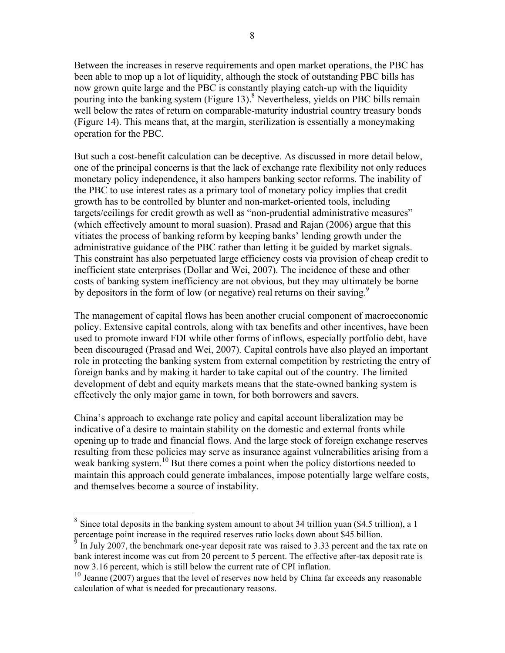Between the increases in reserve requirements and open market operations, the PBC has been able to mop up a lot of liquidity, although the stock of outstanding PBC bills has now grown quite large and the PBC is constantly playing catch-up with the liquidity pouring into the banking system (Figure 13).<sup>8</sup> Nevertheless, yields on PBC bills remain well below the rates of return on comparable-maturity industrial country treasury bonds (Figure 14). This means that, at the margin, sterilization is essentially a moneymaking operation for the PBC.

But such a cost-benefit calculation can be deceptive. As discussed in more detail below, one of the principal concerns is that the lack of exchange rate flexibility not only reduces monetary policy independence, it also hampers banking sector reforms. The inability of the PBC to use interest rates as a primary tool of monetary policy implies that credit growth has to be controlled by blunter and non-market-oriented tools, including targets/ceilings for credit growth as well as "non-prudential administrative measures" (which effectively amount to moral suasion). Prasad and Rajan (2006) argue that this vitiates the process of banking reform by keeping banks' lending growth under the administrative guidance of the PBC rather than letting it be guided by market signals. This constraint has also perpetuated large efficiency costs via provision of cheap credit to inefficient state enterprises (Dollar and Wei, 2007). The incidence of these and other costs of banking system inefficiency are not obvious, but they may ultimately be borne by depositors in the form of low (or negative) real returns on their saving.<sup>9</sup>

The management of capital flows has been another crucial component of macroeconomic policy. Extensive capital controls, along with tax benefits and other incentives, have been used to promote inward FDI while other forms of inflows, especially portfolio debt, have been discouraged (Prasad and Wei, 2007). Capital controls have also played an important role in protecting the banking system from external competition by restricting the entry of foreign banks and by making it harder to take capital out of the country. The limited development of debt and equity markets means that the state-owned banking system is effectively the only major game in town, for both borrowers and savers.

China's approach to exchange rate policy and capital account liberalization may be indicative of a desire to maintain stability on the domestic and external fronts while opening up to trade and financial flows. And the large stock of foreign exchange reserves resulting from these policies may serve as insurance against vulnerabilities arising from a weak banking system.<sup>10</sup> But there comes a point when the policy distortions needed to maintain this approach could generate imbalances, impose potentially large welfare costs, and themselves become a source of instability.

<sup>&</sup>lt;sup>8</sup> Since total deposits in the banking system amount to about 34 trillion yuan (\$4.5 trillion), a 1 percentage point increase in the required reserves ratio locks down about \$45 billion.<br><sup>9</sup> In July 2007, the benchmark one-year deposit rate was raised to 3.33 percent and the tax rate on

bank interest income was cut from 20 percent to 5 percent. The effective after-tax deposit rate is now 3.16 percent, which is still below the current rate of CPI inflation.<br><sup>10</sup> Jeanne (2007) argues that the level of reserves now held by China far exceeds any reasonable

calculation of what is needed for precautionary reasons.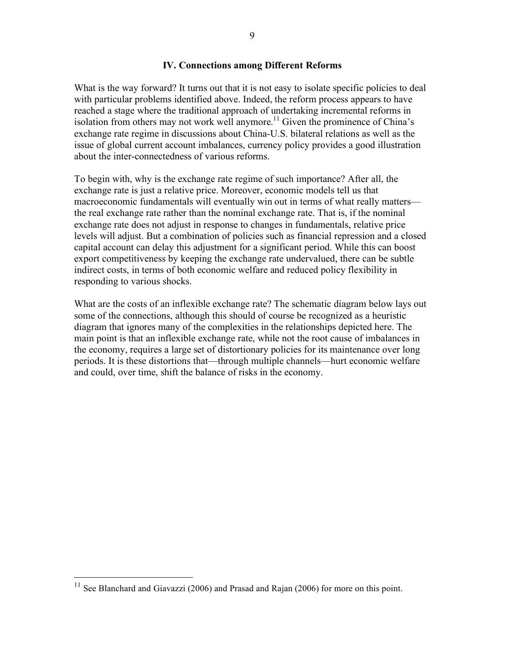### **IV. Connections among Different Reforms**

What is the way forward? It turns out that it is not easy to isolate specific policies to deal with particular problems identified above. Indeed, the reform process appears to have reached a stage where the traditional approach of undertaking incremental reforms in isolation from others may not work well anymore.<sup>11</sup> Given the prominence of China's exchange rate regime in discussions about China-U.S. bilateral relations as well as the issue of global current account imbalances, currency policy provides a good illustration about the inter-connectedness of various reforms.

To begin with, why is the exchange rate regime of such importance? After all, the exchange rate is just a relative price. Moreover, economic models tell us that macroeconomic fundamentals will eventually win out in terms of what really matters the real exchange rate rather than the nominal exchange rate. That is, if the nominal exchange rate does not adjust in response to changes in fundamentals, relative price levels will adjust. But a combination of policies such as financial repression and a closed capital account can delay this adjustment for a significant period. While this can boost export competitiveness by keeping the exchange rate undervalued, there can be subtle indirect costs, in terms of both economic welfare and reduced policy flexibility in responding to various shocks.

What are the costs of an inflexible exchange rate? The schematic diagram below lays out some of the connections, although this should of course be recognized as a heuristic diagram that ignores many of the complexities in the relationships depicted here. The main point is that an inflexible exchange rate, while not the root cause of imbalances in the economy, requires a large set of distortionary policies for its maintenance over long periods. It is these distortions that—through multiple channels—hurt economic welfare and could, over time, shift the balance of risks in the economy.

 $11$  See Blanchard and Giavazzi (2006) and Prasad and Rajan (2006) for more on this point.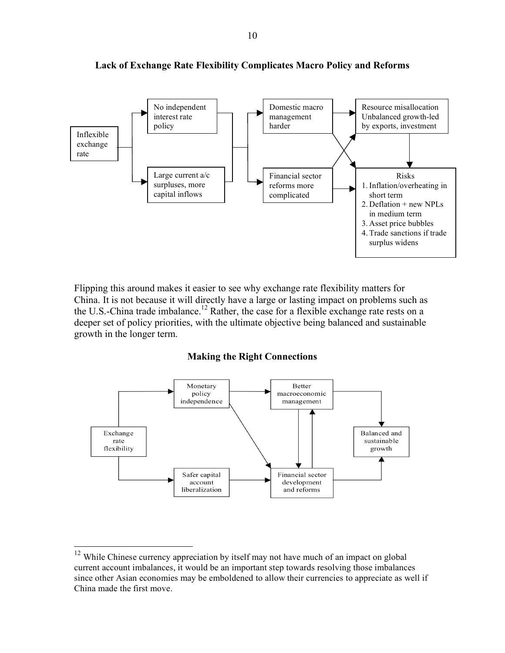

**Lack of Exchange Rate Flexibility Complicates Macro Policy and Reforms**

Flipping this around makes it easier to see why exchange rate flexibility matters for China. It is not because it will directly have a large or lasting impact on problems such as the U.S.-China trade imbalance.<sup>12</sup> Rather, the case for a flexible exchange rate rests on a deeper set of policy priorities, with the ultimate objective being balanced and sustainable growth in the longer term.

### **Making the Right Connections**



<sup>&</sup>lt;sup>12</sup> While Chinese currency appreciation by itself may not have much of an impact on global current account imbalances, it would be an important step towards resolving those imbalances since other Asian economies may be emboldened to allow their currencies to appreciate as well if China made the first move.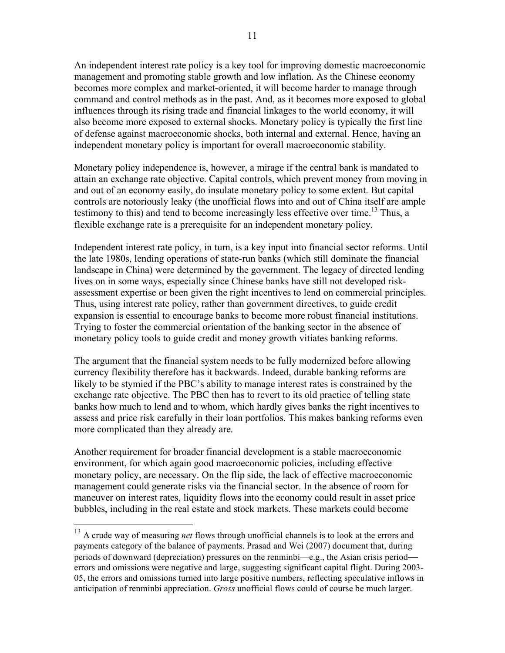An independent interest rate policy is a key tool for improving domestic macroeconomic management and promoting stable growth and low inflation. As the Chinese economy becomes more complex and market-oriented, it will become harder to manage through command and control methods as in the past. And, as it becomes more exposed to global influences through its rising trade and financial linkages to the world economy, it will also become more exposed to external shocks. Monetary policy is typically the first line of defense against macroeconomic shocks, both internal and external. Hence, having an independent monetary policy is important for overall macroeconomic stability.

Monetary policy independence is, however, a mirage if the central bank is mandated to attain an exchange rate objective. Capital controls, which prevent money from moving in and out of an economy easily, do insulate monetary policy to some extent. But capital controls are notoriously leaky (the unofficial flows into and out of China itself are ample testimony to this) and tend to become increasingly less effective over time. <sup>13</sup> Thus, a flexible exchange rate is a prerequisite for an independent monetary policy.

Independent interest rate policy, in turn, is a key input into financial sector reforms. Until the late 1980s, lending operations of state-run banks (which still dominate the financial landscape in China) were determined by the government. The legacy of directed lending lives on in some ways, especially since Chinese banks have still not developed riskassessment expertise or been given the right incentives to lend on commercial principles. Thus, using interest rate policy, rather than government directives, to guide credit expansion is essential to encourage banks to become more robust financial institutions. Trying to foster the commercial orientation of the banking sector in the absence of monetary policy tools to guide credit and money growth vitiates banking reforms.

The argument that the financial system needs to be fully modernized before allowing currency flexibility therefore has it backwards. Indeed, durable banking reforms are likely to be stymied if the PBC's ability to manage interest rates is constrained by the exchange rate objective. The PBC then has to revert to its old practice of telling state banks how much to lend and to whom, which hardly gives banks the right incentives to assess and price risk carefully in their loan portfolios. This makes banking reforms even more complicated than they already are.

Another requirement for broader financial development is a stable macroeconomic environment, for which again good macroeconomic policies, including effective monetary policy, are necessary. On the flip side, the lack of effective macroeconomic management could generate risks via the financial sector. In the absence of room for maneuver on interest rates, liquidity flows into the economy could result in asset price bubbles, including in the real estate and stock markets. These markets could become

<sup>&</sup>lt;sup>13</sup> A crude way of measuring *net* flows through unofficial channels is to look at the errors and payments category of the balance of payments. Prasad and Wei (2007) document that, during periods of downward (depreciation) pressures on the renminbi—e.g., the Asian crisis period errors and omissions were negative and large, suggesting significant capital flight. During 2003- 05, the errors and omissions turned into large positive numbers, reflecting speculative inflows in anticipation of renminbi appreciation. *Gross* unofficial flows could of course be much larger.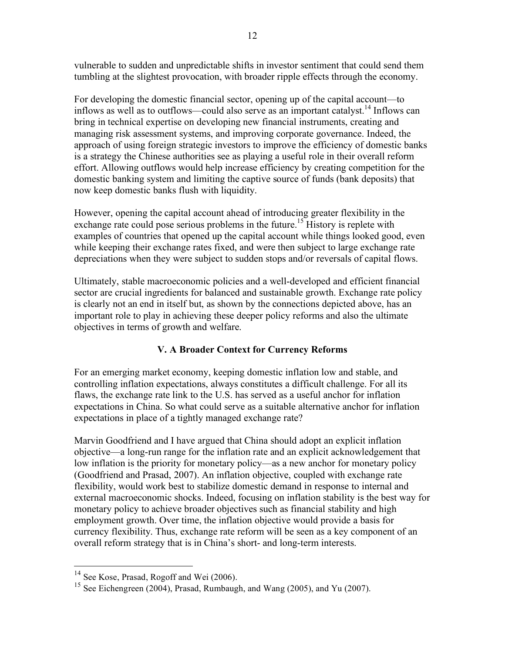vulnerable to sudden and unpredictable shifts in investor sentiment that could send them tumbling at the slightest provocation, with broader ripple effects through the economy.

For developing the domestic financial sector, opening up of the capital account—to inflows as well as to outflows—could also serve as an important catalyst.<sup>14</sup> Inflows can bring in technical expertise on developing new financial instruments, creating and managing risk assessment systems, and improving corporate governance. Indeed, the approach of using foreign strategic investors to improve the efficiency of domestic banks is a strategy the Chinese authorities see as playing a useful role in their overall reform effort. Allowing outflows would help increase efficiency by creating competition for the domestic banking system and limiting the captive source of funds (bank deposits) that now keep domestic banks flush with liquidity.

However, opening the capital account ahead of introducing greater flexibility in the exchange rate could pose serious problems in the future.<sup>15</sup> History is replete with examples of countries that opened up the capital account while things looked good, even while keeping their exchange rates fixed, and were then subject to large exchange rate depreciations when they were subject to sudden stops and/or reversals of capital flows.

Ultimately, stable macroeconomic policies and a well-developed and efficient financial sector are crucial ingredients for balanced and sustainable growth. Exchange rate policy is clearly not an end in itself but, as shown by the connections depicted above, has an important role to play in achieving these deeper policy reforms and also the ultimate objectives in terms of growth and welfare.

# **V. A Broader Context for Currency Reforms**

For an emerging market economy, keeping domestic inflation low and stable, and controlling inflation expectations, always constitutes a difficult challenge. For all its flaws, the exchange rate link to the U.S. has served as a useful anchor for inflation expectations in China. So what could serve as a suitable alternative anchor for inflation expectations in place of a tightly managed exchange rate?

Marvin Goodfriend and I have argued that China should adopt an explicit inflation objective—a long-run range for the inflation rate and an explicit acknowledgement that low inflation is the priority for monetary policy—as a new anchor for monetary policy (Goodfriend and Prasad, 2007). An inflation objective, coupled with exchange rate flexibility, would work best to stabilize domestic demand in response to internal and external macroeconomic shocks. Indeed, focusing on inflation stability is the best way for monetary policy to achieve broader objectives such as financial stability and high employment growth. Over time, the inflation objective would provide a basis for currency flexibility. Thus, exchange rate reform will be seen as a key component of an overall reform strategy that is in China's short- and long-term interests.

<sup>&</sup>lt;sup>14</sup> See Kose, Prasad, Rogoff and Wei (2006).<br><sup>15</sup> See Eichengreen (2004), Prasad, Rumbaugh, and Wang (2005), and Yu (2007).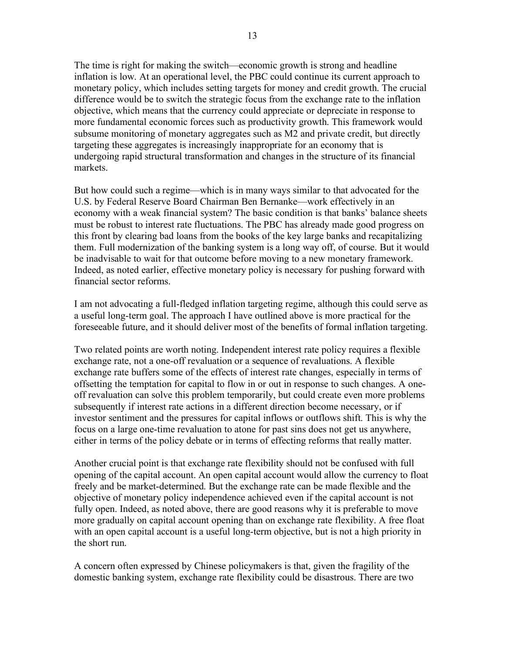The time is right for making the switch—economic growth is strong and headline inflation is low. At an operational level, the PBC could continue its current approach to monetary policy, which includes setting targets for money and credit growth. The crucial difference would be to switch the strategic focus from the exchange rate to the inflation objective, which means that the currency could appreciate or depreciate in response to more fundamental economic forces such as productivity growth. This framework would subsume monitoring of monetary aggregates such as M2 and private credit, but directly targeting these aggregates is increasingly inappropriate for an economy that is undergoing rapid structural transformation and changes in the structure of its financial markets.

But how could such a regime—which is in many ways similar to that advocated for the U.S. by Federal Reserve Board Chairman Ben Bernanke—work effectively in an economy with a weak financial system? The basic condition is that banks' balance sheets must be robust to interest rate fluctuations. The PBC has already made good progress on this front by clearing bad loans from the books of the key large banks and recapitalizing them. Full modernization of the banking system is a long way off, of course. But it would be inadvisable to wait for that outcome before moving to a new monetary framework. Indeed, as noted earlier, effective monetary policy is necessary for pushing forward with financial sector reforms.

I am not advocating a full-fledged inflation targeting regime, although this could serve as a useful long-term goal. The approach I have outlined above is more practical for the foreseeable future, and it should deliver most of the benefits of formal inflation targeting.

Two related points are worth noting. Independent interest rate policy requires a flexible exchange rate, not a one-off revaluation or a sequence of revaluations. A flexible exchange rate buffers some of the effects of interest rate changes, especially in terms of offsetting the temptation for capital to flow in or out in response to such changes. A oneoff revaluation can solve this problem temporarily, but could create even more problems subsequently if interest rate actions in a different direction become necessary, or if investor sentiment and the pressures for capital inflows or outflows shift. This is why the focus on a large one-time revaluation to atone for past sins does not get us anywhere, either in terms of the policy debate or in terms of effecting reforms that really matter.

Another crucial point is that exchange rate flexibility should not be confused with full opening of the capital account. An open capital account would allow the currency to float freely and be market-determined. But the exchange rate can be made flexible and the objective of monetary policy independence achieved even if the capital account is not fully open. Indeed, as noted above, there are good reasons why it is preferable to move more gradually on capital account opening than on exchange rate flexibility. A free float with an open capital account is a useful long-term objective, but is not a high priority in the short run.

A concern often expressed by Chinese policymakers is that, given the fragility of the domestic banking system, exchange rate flexibility could be disastrous. There are two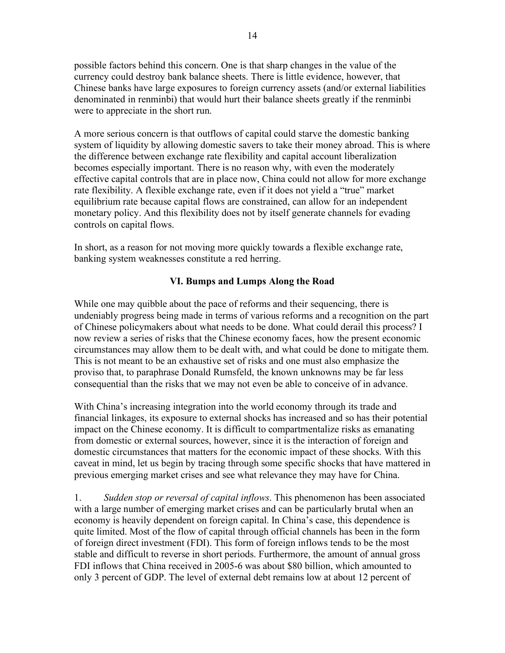possible factors behind this concern. One is that sharp changes in the value of the currency could destroy bank balance sheets. There is little evidence, however, that Chinese banks have large exposures to foreign currency assets (and/or external liabilities denominated in renminbi) that would hurt their balance sheets greatly if the renminbi were to appreciate in the short run.

A more serious concern is that outflows of capital could starve the domestic banking system of liquidity by allowing domestic savers to take their money abroad. This is where the difference between exchange rate flexibility and capital account liberalization becomes especially important. There is no reason why, with even the moderately effective capital controls that are in place now, China could not allow for more exchange rate flexibility. A flexible exchange rate, even if it does not yield a "true" market equilibrium rate because capital flows are constrained, can allow for an independent monetary policy. And this flexibility does not by itself generate channels for evading controls on capital flows.

In short, as a reason for not moving more quickly towards a flexible exchange rate, banking system weaknesses constitute a red herring.

### **VI. Bumps and Lumps Along the Road**

While one may quibble about the pace of reforms and their sequencing, there is undeniably progress being made in terms of various reforms and a recognition on the part of Chinese policymakers about what needs to be done. What could derail this process? I now review a series of risks that the Chinese economy faces, how the present economic circumstances may allow them to be dealt with, and what could be done to mitigate them. This is not meant to be an exhaustive set of risks and one must also emphasize the proviso that, to paraphrase Donald Rumsfeld, the known unknowns may be far less consequential than the risks that we may not even be able to conceive of in advance.

With China's increasing integration into the world economy through its trade and financial linkages, its exposure to external shocks has increased and so has their potential impact on the Chinese economy. It is difficult to compartmentalize risks as emanating from domestic or external sources, however, since it is the interaction of foreign and domestic circumstances that matters for the economic impact of these shocks. With this caveat in mind, let us begin by tracing through some specific shocks that have mattered in previous emerging market crises and see what relevance they may have for China.

1. *Sudden stop or reversal of capital inflows*. This phenomenon has been associated with a large number of emerging market crises and can be particularly brutal when an economy is heavily dependent on foreign capital. In China's case, this dependence is quite limited. Most of the flow of capital through official channels has been in the form of foreign direct investment (FDI). This form of foreign inflows tends to be the most stable and difficult to reverse in short periods. Furthermore, the amount of annual gross FDI inflows that China received in 2005-6 was about \$80 billion, which amounted to only 3 percent of GDP. The level of external debt remains low at about 12 percent of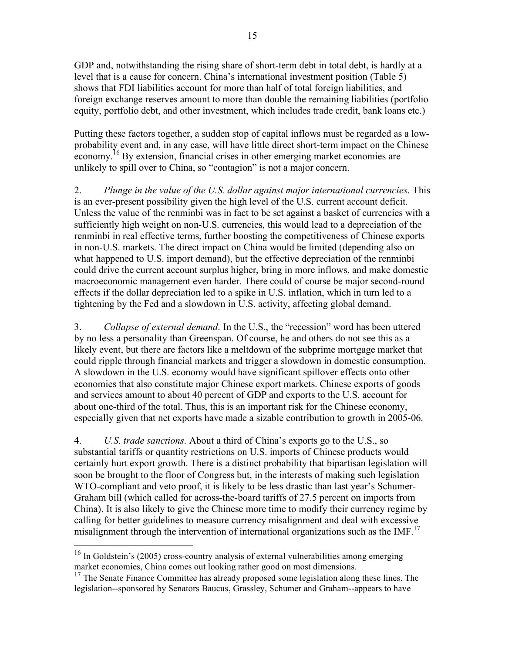GDP and, notwithstanding the rising share of short-term debt in total debt, is hardly at a level that is a cause for concern. China's international investment position (Table 5) shows that FDI liabilities account for more than half of total foreign liabilities, and foreign exchange reserves amount to more than double the remaining liabilities (portfolio equity, portfolio debt, and other investment, which includes trade credit, bank loans etc.)

Putting these factors together, a sudden stop of capital inflows must be regarded as a lowprobability event and, in any case, will have little direct short-term impact on the Chinese economy.<sup>16</sup> By extension, financial crises in other emerging market economies are unlikely to spill over to China, so "contagion" is not a major concern.

2. *Plunge in the value of the U.S. dollar against major international currencies*. This is an ever-present possibility given the high level of the U.S. current account deficit. Unless the value of the renminbi was in fact to be set against a basket of currencies with a sufficiently high weight on non-U.S. currencies, this would lead to a depreciation of the renminbi in real effective terms, further boosting the competitiveness of Chinese exports in non-U.S. markets. The direct impact on China would be limited (depending also on what happened to U.S. import demand), but the effective depreciation of the renminbi could drive the current account surplus higher, bring in more inflows, and make domestic macroeconomic management even harder. There could of course be major second-round effects if the dollar depreciation led to a spike in U.S. inflation, which in turn led to a tightening by the Fed and a slowdown in U.S. activity, affecting global demand.

3. *Collapse of external demand*. In the U.S., the "recession" word has been uttered by no less a personality than Greenspan. Of course, he and others do not see this as a likely event, but there are factors like a meltdown of the subprime mortgage market that could ripple through financial markets and trigger a slowdown in domestic consumption. A slowdown in the U.S. economy would have significant spillover effects onto other economies that also constitute major Chinese export markets. Chinese exports of goods and services amount to about 40 percent of GDP and exports to the U.S. account for about one-third of the total. Thus, this is an important risk for the Chinese economy, especially given that net exports have made a sizable contribution to growth in 2005-06.

4. *U.S. trade sanctions*. About a third of China's exports go to the U.S., so substantial tariffs or quantity restrictions on U.S. imports of Chinese products would certainly hurt export growth. There is a distinct probability that bipartisan legislation will soon be brought to the floor of Congress but, in the interests of making such legislation WTO-compliant and veto proof, it is likely to be less drastic than last year's Schumer-Graham bill (which called for across-the-board tariffs of 27.5 percent on imports from China). It is also likely to give the Chinese more time to modify their currency regime by calling for better guidelines to measure currency misalignment and deal with excessive misalignment through the intervention of international organizations such as the IMF.<sup>17</sup>

<sup>&</sup>lt;sup>16</sup> In Goldstein's (2005) cross-country analysis of external vulnerabilities among emerging

market economies, China comes out looking rather good on most dimensions.<br><sup>17</sup> The Senate Finance Committee has already proposed some legislation along these lines. The legislation--sponsored by Senators Baucus, Grassley, Schumer and Graham--appears to have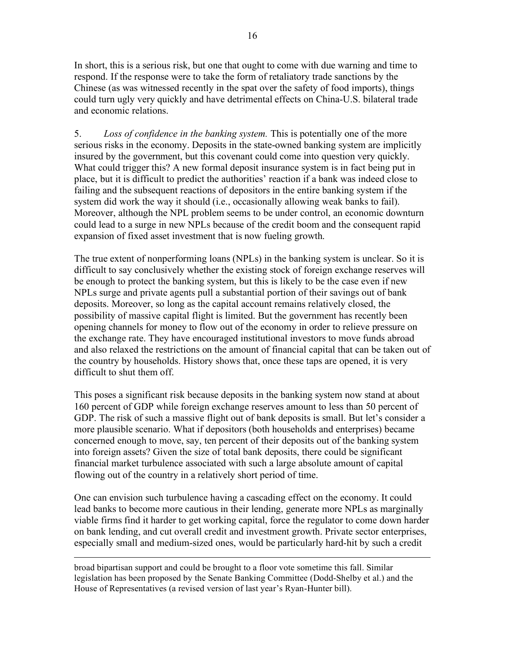In short, this is a serious risk, but one that ought to come with due warning and time to respond. If the response were to take the form of retaliatory trade sanctions by the Chinese (as was witnessed recently in the spat over the safety of food imports), things could turn ugly very quickly and have detrimental effects on China-U.S. bilateral trade and economic relations.

5. *Loss of confidence in the banking system.* This is potentially one of the more serious risks in the economy. Deposits in the state-owned banking system are implicitly insured by the government, but this covenant could come into question very quickly. What could trigger this? A new formal deposit insurance system is in fact being put in place, but it is difficult to predict the authorities' reaction if a bank was indeed close to failing and the subsequent reactions of depositors in the entire banking system if the system did work the way it should (i.e., occasionally allowing weak banks to fail). Moreover, although the NPL problem seems to be under control, an economic downturn could lead to a surge in new NPLs because of the credit boom and the consequent rapid expansion of fixed asset investment that is now fueling growth.

The true extent of nonperforming loans (NPLs) in the banking system is unclear. So it is difficult to say conclusively whether the existing stock of foreign exchange reserves will be enough to protect the banking system, but this is likely to be the case even if new NPLs surge and private agents pull a substantial portion of their savings out of bank deposits. Moreover, so long as the capital account remains relatively closed, the possibility of massive capital flight is limited. But the government has recently been opening channels for money to flow out of the economy in order to relieve pressure on the exchange rate. They have encouraged institutional investors to move funds abroad and also relaxed the restrictions on the amount of financial capital that can be taken out of the country by households. History shows that, once these taps are opened, it is very difficult to shut them off.

This poses a significant risk because deposits in the banking system now stand at about 160 percent of GDP while foreign exchange reserves amount to less than 50 percent of GDP. The risk of such a massive flight out of bank deposits is small. But let's consider a more plausible scenario. What if depositors (both households and enterprises) became concerned enough to move, say, ten percent of their deposits out of the banking system into foreign assets? Given the size of total bank deposits, there could be significant financial market turbulence associated with such a large absolute amount of capital flowing out of the country in a relatively short period of time.

One can envision such turbulence having a cascading effect on the economy. It could lead banks to become more cautious in their lending, generate more NPLs as marginally viable firms find it harder to get working capital, force the regulator to come down harder on bank lending, and cut overall credit and investment growth. Private sector enterprises, especially small and medium-sized ones, would be particularly hard-hit by such a credit

broad bipartisan support and could be brought to a floor vote sometime this fall. Similar legislation has been proposed by the Senate Banking Committee (Dodd-Shelby et al.) and the House of Representatives (a revised version of last year's Ryan-Hunter bill).

 $\overline{a}$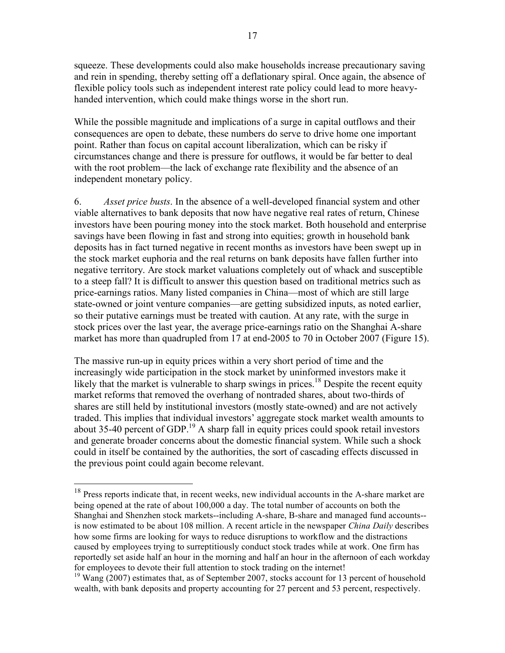squeeze. These developments could also make households increase precautionary saving and rein in spending, thereby setting off a deflationary spiral. Once again, the absence of flexible policy tools such as independent interest rate policy could lead to more heavyhanded intervention, which could make things worse in the short run.

While the possible magnitude and implications of a surge in capital outflows and their consequences are open to debate, these numbers do serve to drive home one important point. Rather than focus on capital account liberalization, which can be risky if circumstances change and there is pressure for outflows, it would be far better to deal with the root problem—the lack of exchange rate flexibility and the absence of an independent monetary policy.

6. *Asset price busts*. In the absence of a well-developed financial system and other viable alternatives to bank deposits that now have negative real rates of return, Chinese investors have been pouring money into the stock market. Both household and enterprise savings have been flowing in fast and strong into equities; growth in household bank deposits has in fact turned negative in recent months as investors have been swept up in the stock market euphoria and the real returns on bank deposits have fallen further into negative territory. Are stock market valuations completely out of whack and susceptible to a steep fall? It is difficult to answer this question based on traditional metrics such as price-earnings ratios. Many listed companies in China—most of which are still large state-owned or joint venture companies—are getting subsidized inputs, as noted earlier, so their putative earnings must be treated with caution. At any rate, with the surge in stock prices over the last year, the average price-earnings ratio on the Shanghai A-share market has more than quadrupled from 17 at end-2005 to 70 in October 2007 (Figure 15).

The massive run-up in equity prices within a very short period of time and the increasingly wide participation in the stock market by uninformed investors make it likely that the market is vulnerable to sharp swings in prices.<sup>18</sup> Despite the recent equity market reforms that removed the overhang of nontraded shares, about two-thirds of shares are still held by institutional investors (mostly state-owned) and are not actively traded. This implies that individual investors' aggregate stock market wealth amounts to about 35-40 percent of GDP.<sup>19</sup> A sharp fall in equity prices could spook retail investors and generate broader concerns about the domestic financial system. While such a shock could in itself be contained by the authorities, the sort of cascading effects discussed in the previous point could again become relevant.

<sup>&</sup>lt;sup>18</sup> Press reports indicate that, in recent weeks, new individual accounts in the A-share market are being opened at the rate of about 100,000 a day. The total number of accounts on both the Shanghai and Shenzhen stock markets--including A-share, B-share and managed fund accounts- is now estimated to be about 108 million. A recent article in the newspaper *China Daily* describes how some firms are looking for ways to reduce disruptions to workflow and the distractions caused by employees trying to surreptitiously conduct stock trades while at work. One firm has reportedly set aside half an hour in the morning and half an hour in the afternoon of each workday for employees to devote their full attention to stock trading on the internet!

 $19$  Wang (2007) estimates that, as of September 2007, stocks account for 13 percent of household wealth, with bank deposits and property accounting for 27 percent and 53 percent, respectively.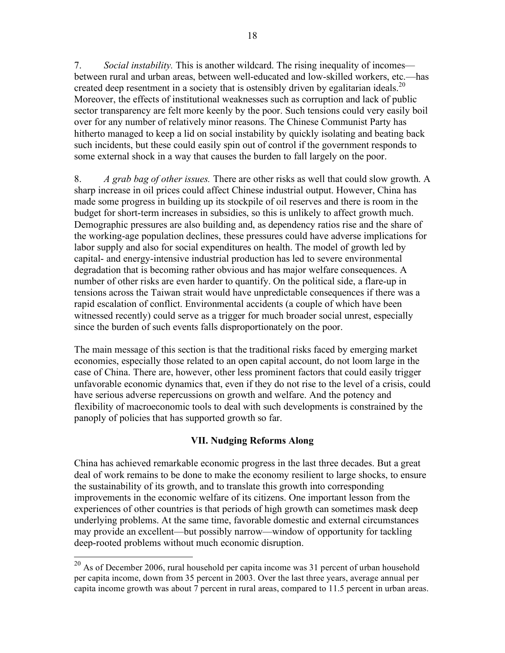7. *Social instability.* This is another wildcard. The rising inequality of incomes between rural and urban areas, between well-educated and low-skilled workers, etc.—has created deep resentment in a society that is ostensibly driven by egalitarian ideals.<sup>20</sup> Moreover, the effects of institutional weaknesses such as corruption and lack of public sector transparency are felt more keenly by the poor. Such tensions could very easily boil over for any number of relatively minor reasons. The Chinese Communist Party has hitherto managed to keep a lid on social instability by quickly isolating and beating back such incidents, but these could easily spin out of control if the government responds to some external shock in a way that causes the burden to fall largely on the poor.

8. *A grab bag of other issues.* There are other risks as well that could slow growth. A sharp increase in oil prices could affect Chinese industrial output. However, China has made some progress in building up its stockpile of oil reserves and there is room in the budget for short-term increases in subsidies, so this is unlikely to affect growth much. Demographic pressures are also building and, as dependency ratios rise and the share of the working-age population declines, these pressures could have adverse implications for labor supply and also for social expenditures on health. The model of growth led by capital- and energy-intensive industrial production has led to severe environmental degradation that is becoming rather obvious and has major welfare consequences. A number of other risks are even harder to quantify. On the political side, a flare-up in tensions across the Taiwan strait would have unpredictable consequences if there was a rapid escalation of conflict. Environmental accidents (a couple of which have been witnessed recently) could serve as a trigger for much broader social unrest, especially since the burden of such events falls disproportionately on the poor.

The main message of this section is that the traditional risks faced by emerging market economies, especially those related to an open capital account, do not loom large in the case of China. There are, however, other less prominent factors that could easily trigger unfavorable economic dynamics that, even if they do not rise to the level of a crisis, could have serious adverse repercussions on growth and welfare. And the potency and flexibility of macroeconomic tools to deal with such developments is constrained by the panoply of policies that has supported growth so far.

### **VII. Nudging Reforms Along**

China has achieved remarkable economic progress in the last three decades. But a great deal of work remains to be done to make the economy resilient to large shocks, to ensure the sustainability of its growth, and to translate this growth into corresponding improvements in the economic welfare of its citizens. One important lesson from the experiences of other countries is that periods of high growth can sometimes mask deep underlying problems. At the same time, favorable domestic and external circumstances may provide an excellent—but possibly narrow—window of opportunity for tackling deep-rooted problems without much economic disruption.

 $20$  As of December 2006, rural household per capita income was 31 percent of urban household per capita income, down from 35 percent in 2003. Over the last three years, average annual per capita income growth was about 7 percent in rural areas, compared to 11.5 percent in urban areas.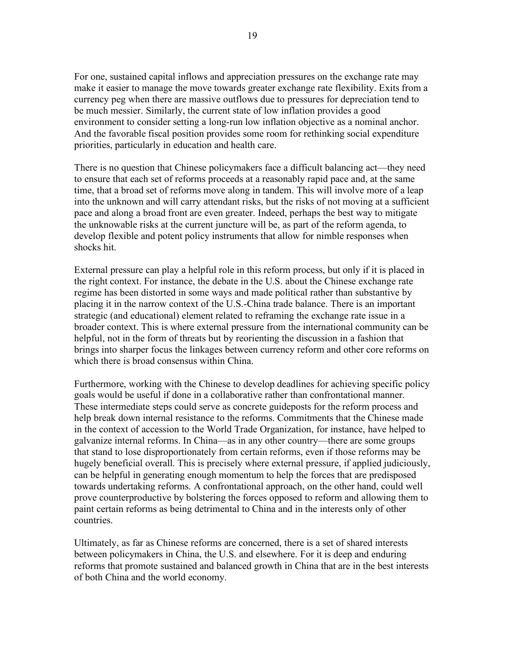For one, sustained capital inflows and appreciation pressures on the exchange rate may make it easier to manage the move towards greater exchange rate flexibility. Exits from a currency peg when there are massive outflows due to pressures for depreciation tend to be much messier. Similarly, the current state of low inflation provides a good environment to consider setting a long-run low inflation objective as a nominal anchor. And the favorable fiscal position provides some room for rethinking social expenditure priorities, particularly in education and health care.

There is no question that Chinese policymakers face a difficult balancing act—they need to ensure that each set of reforms proceeds at a reasonably rapid pace and, at the same time, that a broad set of reforms move along in tandem. This will involve more of a leap into the unknown and will carry attendant risks, but the risks of not moving at a sufficient pace and along a broad front are even greater. Indeed, perhaps the best way to mitigate the unknowable risks at the current juncture will be, as part of the reform agenda, to develop flexible and potent policy instruments that allow for nimble responses when shocks hit.

External pressure can play a helpful role in this reform process, but only if it is placed in the right context. For instance, the debate in the U.S. about the Chinese exchange rate regime has been distorted in some ways and made political rather than substantive by placing it in the narrow context of the U.S.-China trade balance. There is an important strategic (and educational) element related to reframing the exchange rate issue in a broader context. This is where external pressure from the international community can be helpful, not in the form of threats but by reorienting the discussion in a fashion that brings into sharper focus the linkages between currency reform and other core reforms on which there is broad consensus within China.

Furthermore, working with the Chinese to develop deadlines for achieving specific policy goals would be useful if done in a collaborative rather than confrontational manner. These intermediate steps could serve as concrete guideposts for the reform process and help break down internal resistance to the reforms. Commitments that the Chinese made in the context of accession to the World Trade Organization, for instance, have helped to galvanize internal reforms. In China—as in any other country—there are some groups that stand to lose disproportionately from certain reforms, even if those reforms may be hugely beneficial overall. This is precisely where external pressure, if applied judiciously, can be helpful in generating enough momentum to help the forces that are predisposed towards undertaking reforms. A confrontational approach, on the other hand, could well prove counterproductive by bolstering the forces opposed to reform and allowing them to paint certain reforms as being detrimental to China and in the interests only of other countries.

Ultimately, as far as Chinese reforms are concerned, there is a set of shared interests between policymakers in China, the U.S. and elsewhere. For it is deep and enduring reforms that promote sustained and balanced growth in China that are in the best interests of both China and the world economy.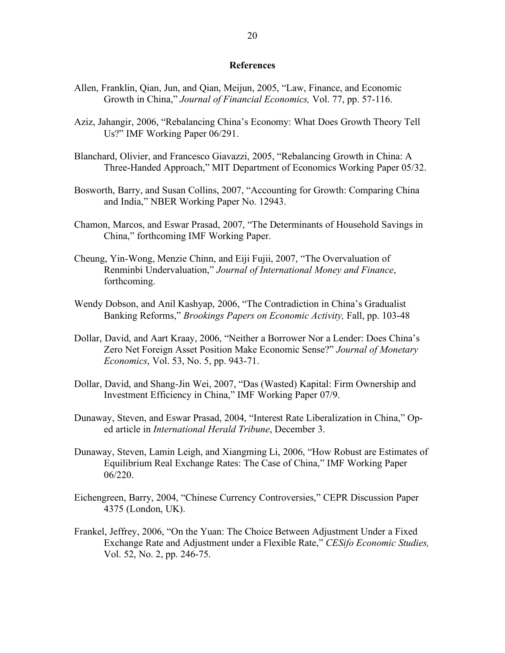#### **References**

- Allen, Franklin, Qian, Jun, and Qian, Meijun, 2005, "Law, Finance, and Economic Growth in China," *Journal of Financial Economics,* Vol. 77, pp. 57-116.
- Aziz, Jahangir, 2006, "Rebalancing China's Economy: What Does Growth Theory Tell Us?" IMF Working Paper 06/291.
- Blanchard, Olivier, and Francesco Giavazzi, 2005, "Rebalancing Growth in China: A Three-Handed Approach," MIT Department of Economics Working Paper 05/32.
- Bosworth, Barry, and Susan Collins, 2007, "Accounting for Growth: Comparing China and India," NBER Working Paper No. 12943.
- Chamon, Marcos, and Eswar Prasad, 2007, "The Determinants of Household Savings in China," forthcoming IMF Working Paper.
- Cheung, Yin-Wong, Menzie Chinn, and Eiji Fujii, 2007, "The Overvaluation of Renminbi Undervaluation," *Journal of International Money and Finance*, forthcoming.
- Wendy Dobson, and Anil Kashyap, 2006, "The Contradiction in China's Gradualist Banking Reforms," *Brookings Papers on Economic Activity,* Fall, pp. 103-48
- Dollar, David, and Aart Kraay, 2006, "Neither a Borrower Nor a Lender: Does China's Zero Net Foreign Asset Position Make Economic Sense?" *Journal of Monetary Economics*, Vol. 53, No. 5, pp. 943-71.
- Dollar, David, and Shang-Jin Wei, 2007, "Das (Wasted) Kapital: Firm Ownership and Investment Efficiency in China," IMF Working Paper 07/9.
- Dunaway, Steven, and Eswar Prasad, 2004, "Interest Rate Liberalization in China," Oped article in *International Herald Tribune*, December 3.
- Dunaway, Steven, Lamin Leigh, and Xiangming Li, 2006, "How Robust are Estimates of Equilibrium Real Exchange Rates: The Case of China," IMF Working Paper 06/220.
- Eichengreen, Barry, 2004, "Chinese Currency Controversies," CEPR Discussion Paper 4375 (London, UK).
- Frankel, Jeffrey, 2006, "On the Yuan: The Choice Between Adjustment Under a Fixed Exchange Rate and Adjustment under a Flexible Rate," *CESifo Economic Studies,* Vol. 52, No. 2, pp. 246-75.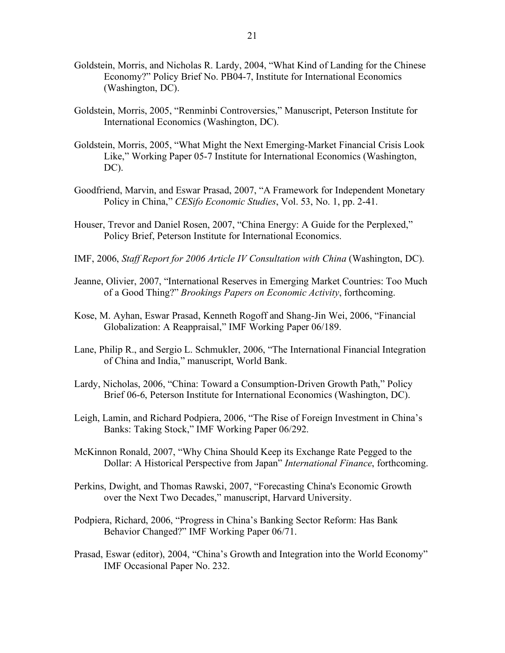- Goldstein, Morris, and Nicholas R. Lardy, 2004, "What Kind of Landing for the Chinese Economy?" Policy Brief No. PB04-7, Institute for International Economics (Washington, DC).
- Goldstein, Morris, 2005, "Renminbi Controversies," Manuscript, Peterson Institute for International Economics (Washington, DC).
- Goldstein, Morris, 2005, "What Might the Next Emerging-Market Financial Crisis Look Like," Working Paper 05-7 Institute for International Economics (Washington, DC).
- Goodfriend, Marvin, and Eswar Prasad, 2007, "A Framework for Independent Monetary Policy in China," *CESifo Economic Studies*, Vol. 53, No. 1, pp. 2-41.
- Houser, Trevor and Daniel Rosen, 2007, "China Energy: A Guide for the Perplexed," Policy Brief, Peterson Institute for International Economics.
- IMF, 2006, *Staff Report for 2006 Article IV Consultation with China* (Washington, DC).
- Jeanne, Olivier, 2007, "International Reserves in Emerging Market Countries: Too Much of a Good Thing?" *Brookings Papers on Economic Activity*, forthcoming.
- Kose, M. Ayhan, Eswar Prasad, Kenneth Rogoff and Shang-Jin Wei, 2006, "Financial Globalization: A Reappraisal," IMF Working Paper 06/189.
- Lane, Philip R., and Sergio L. Schmukler, 2006, "The International Financial Integration of China and India," manuscript, World Bank.
- Lardy, Nicholas, 2006, "China: Toward a Consumption-Driven Growth Path," Policy Brief 06-6, Peterson Institute for International Economics (Washington, DC).
- Leigh, Lamin, and Richard Podpiera, 2006, "The Rise of Foreign Investment in China's Banks: Taking Stock," IMF Working Paper 06/292.
- McKinnon Ronald, 2007, "Why China Should Keep its Exchange Rate Pegged to the Dollar: A Historical Perspective from Japan" *International Finance*, forthcoming.
- Perkins, Dwight, and Thomas Rawski, 2007, "Forecasting China's Economic Growth over the Next Two Decades," manuscript, Harvard University.
- Podpiera, Richard, 2006, "Progress in China's Banking Sector Reform: Has Bank Behavior Changed?" IMF Working Paper 06/71.
- Prasad, Eswar (editor), 2004, "China's Growth and Integration into the World Economy" IMF Occasional Paper No. 232.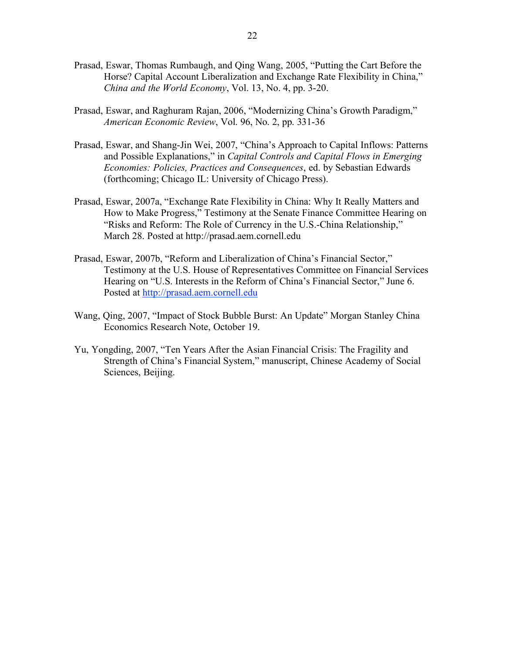- Prasad, Eswar, Thomas Rumbaugh, and Qing Wang, 2005, "Putting the Cart Before the Horse? Capital Account Liberalization and Exchange Rate Flexibility in China," *China and the World Economy*, Vol. 13, No. 4, pp. 3-20.
- Prasad, Eswar, and Raghuram Rajan, 2006, "Modernizing China's Growth Paradigm," *American Economic Review*, Vol. 96, No. 2, pp. 331-36
- Prasad, Eswar, and Shang-Jin Wei, 2007, "China's Approach to Capital Inflows: Patterns and Possible Explanations," in *Capital Controls and Capital Flows in Emerging Economies: Policies, Practices and Consequences*, ed. by Sebastian Edwards (forthcoming; Chicago IL: University of Chicago Press).
- Prasad, Eswar, 2007a, "Exchange Rate Flexibility in China: Why It Really Matters and How to Make Progress," Testimony at the Senate Finance Committee Hearing on "Risks and Reform: The Role of Currency in the U.S.-China Relationship," March 28. Posted at http://prasad.aem.cornell.edu
- Prasad, Eswar, 2007b, "Reform and Liberalization of China's Financial Sector," Testimony at the U.S. House of Representatives Committee on Financial Services Hearing on "U.S. Interests in the Reform of China's Financial Sector," June 6. Posted at http://prasad.aem.cornell.edu
- Wang, Qing, 2007, "Impact of Stock Bubble Burst: An Update" Morgan Stanley China Economics Research Note, October 19.
- Yu, Yongding, 2007, "Ten Years After the Asian Financial Crisis: The Fragility and Strength of China's Financial System," manuscript, Chinese Academy of Social Sciences, Beijing.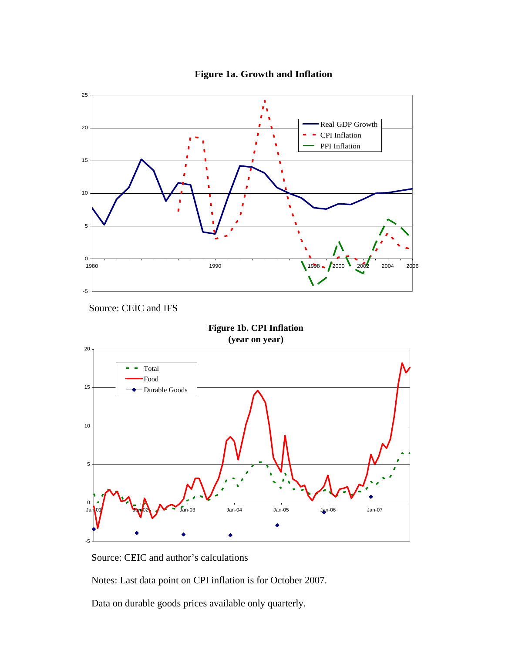

## **Figure 1a. Growth and Inflation**

Source: CEIC and IFS

## **Figure 1b. CPI Inflation (year on year)**



Source: CEIC and author's calculations

Notes: Last data point on CPI inflation is for October 2007.

Data on durable goods prices available only quarterly.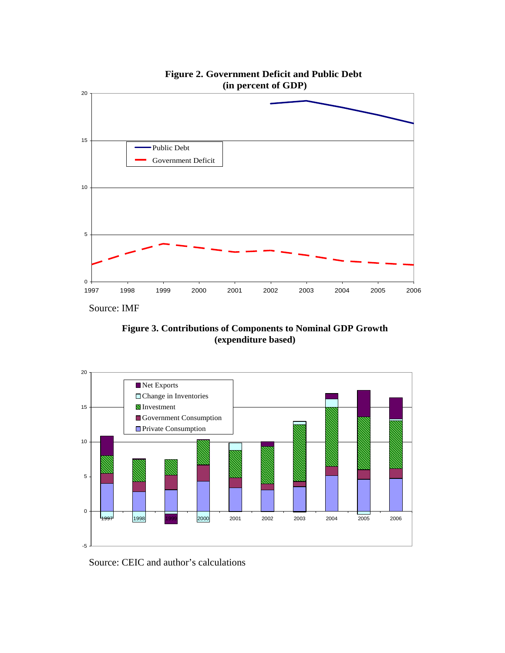

**Figure 3. Contributions of Components to Nominal GDP Growth (expenditure based)**



Source: CEIC and author's calculations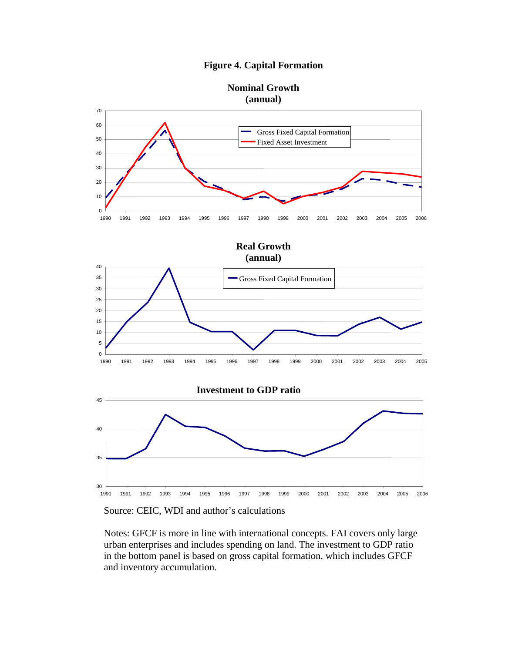### **Figure 4. Capital Formation**



**Real Growth (annual)** 





Source: CEIC, WDI and author's calculations

Notes: GFCF is more in line with international concepts. FAI covers only large urban enterprises and includes spending on land. The investment to GDP ratio in the bottom panel is based on gross capital formation, which includes GFCF and inventory accumulation.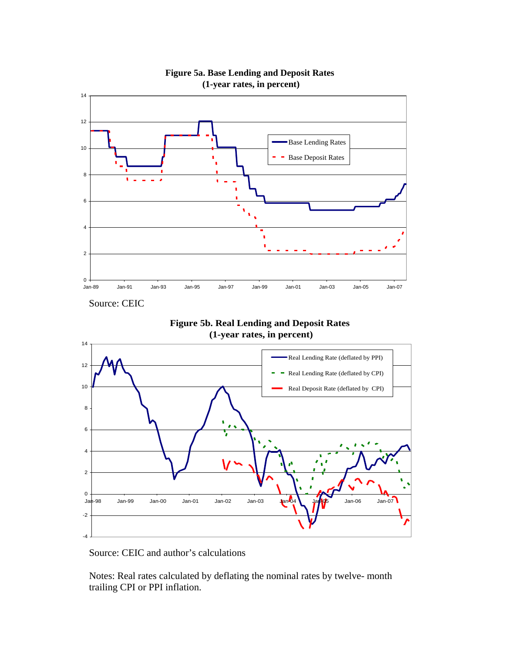



Source: CEIC





Source: CEIC and author's calculations

Notes: Real rates calculated by deflating the nominal rates by twelve- month trailing CPI or PPI inflation.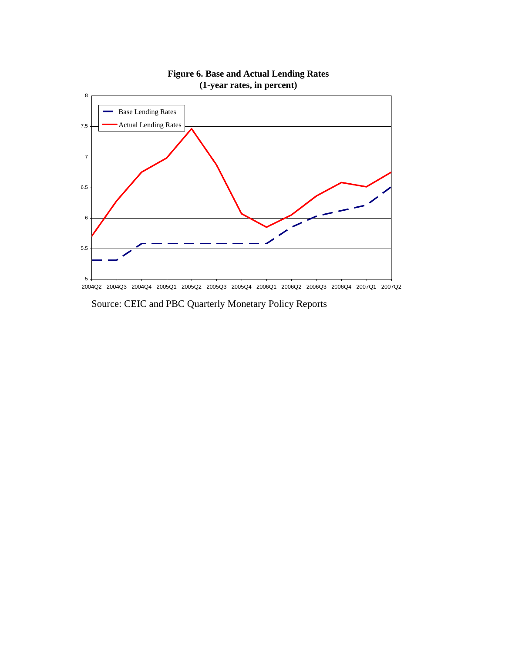

**Figure 6. Base and Actual Lending Rates (1-year rates, in percent)**

2004Q2 2004Q3 2004Q4 2005Q1 2005Q2 2005Q3 2005Q4 2006Q1 2006Q2 2006Q3 2006Q4 2007Q1 2007Q2

Source: CEIC and PBC Quarterly Monetary Policy Reports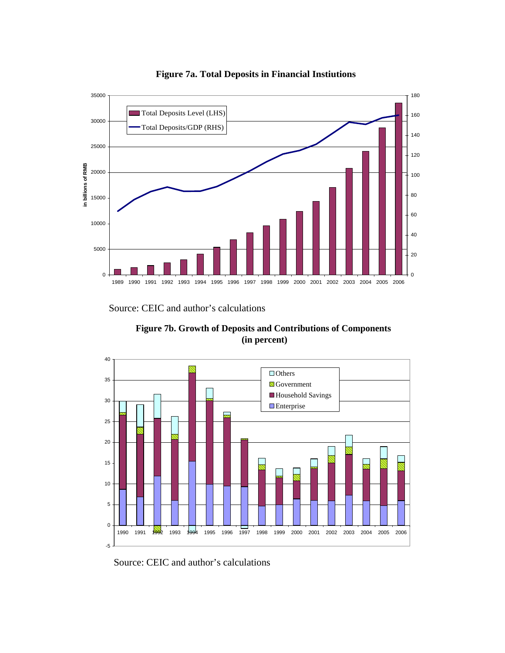



Source: CEIC and author's calculations

**Figure 7b. Growth of Deposits and Contributions of Components (in percent)**



Source: CEIC and author's calculations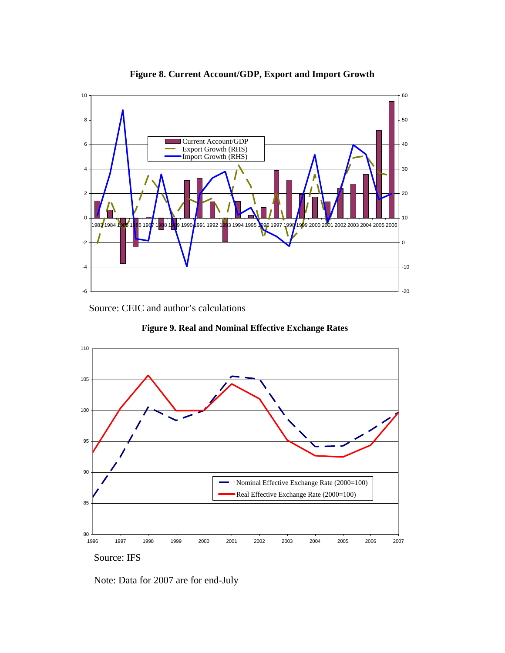

**Figure 8. Current Account/GDP, Export and Import Growth**

Source: CEIC and author's calculations

**Figure 9. Real and Nominal Effective Exchange Rates**



Note: Data for 2007 are for end-July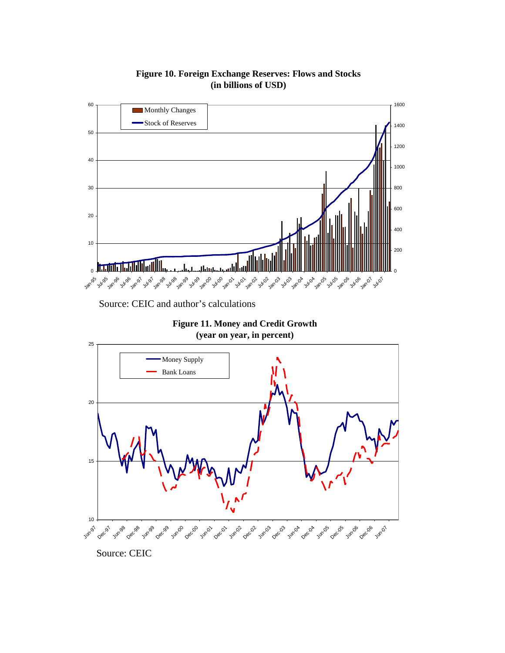

### **Figure 10. Foreign Exchange Reserves: Flows and Stocks (in billions of USD)**

Source: CEIC and author's calculations

**Figure 11. Money and Credit Growth (year on year, in percent)**



Source: CEIC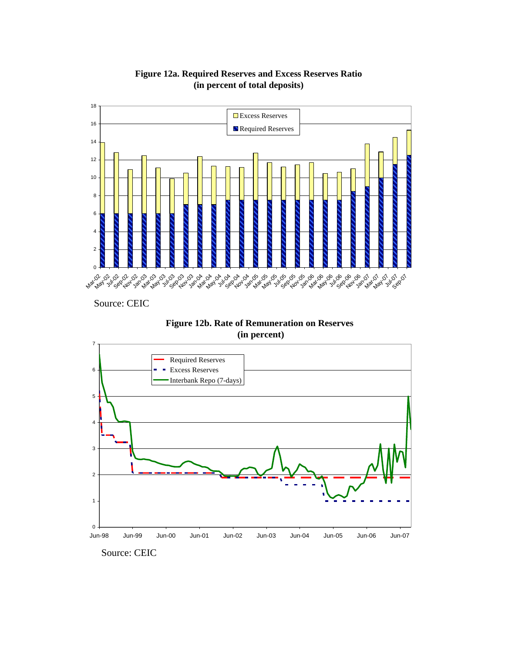



Source: CEIC





Source: CEIC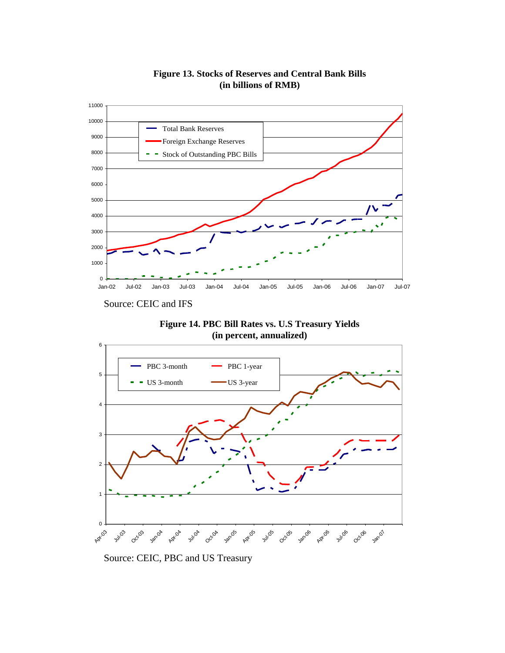

**Figure 13. Stocks of Reserves and Central Bank Bills (in billions of RMB)**

Source: CEIC and IFS





Source: CEIC, PBC and US Treasury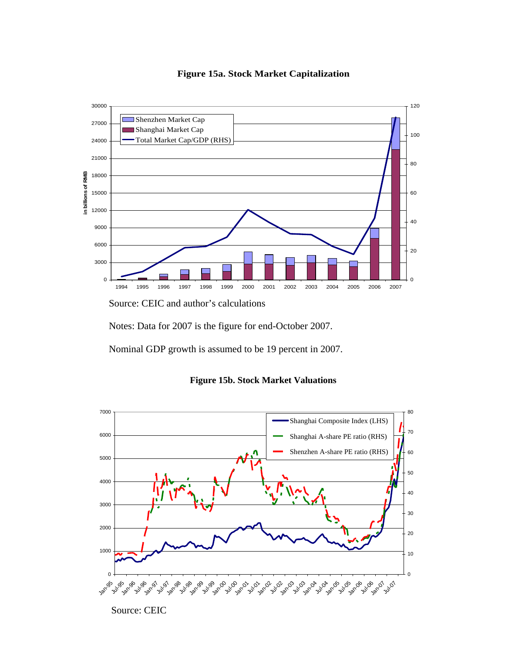

#### **Figure 15a. Stock Market Capitalization**

Source: CEIC and author's calculations

Notes: Data for 2007 is the figure for end-October 2007.

Nominal GDP growth is assumed to be 19 percent in 2007.



## **Figure 15b. Stock Market Valuations**

Source: CEIC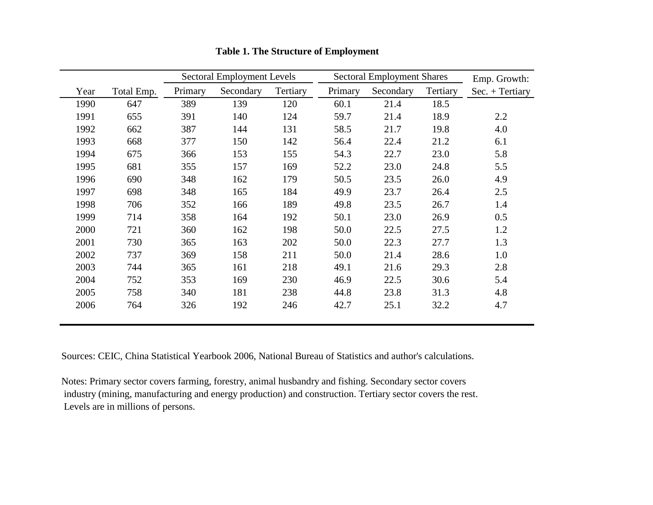|      |            | <b>Sectoral Employment Levels</b> |           |          |         | <b>Sectoral Employment Shares</b> |          |                                   |  |
|------|------------|-----------------------------------|-----------|----------|---------|-----------------------------------|----------|-----------------------------------|--|
| Year | Total Emp. | Primary                           | Secondary | Tertiary | Primary | Secondary                         | Tertiary | Emp. Growth:<br>$Sec. + Tertiary$ |  |
| 1990 | 647        | 389                               | 139       | 120      | 60.1    | 21.4                              | 18.5     |                                   |  |
| 1991 | 655        | 391                               | 140       | 124      | 59.7    | 21.4                              | 18.9     | 2.2                               |  |
| 1992 | 662        | 387                               | 144       | 131      | 58.5    | 21.7                              | 19.8     | 4.0                               |  |
| 1993 | 668        | 377                               | 150       | 142      | 56.4    | 22.4                              | 21.2     | 6.1                               |  |
| 1994 | 675        | 366                               | 153       | 155      | 54.3    | 22.7                              | 23.0     | 5.8                               |  |
| 1995 | 681        | 355                               | 157       | 169      | 52.2    | 23.0                              | 24.8     | 5.5                               |  |
| 1996 | 690        | 348                               | 162       | 179      | 50.5    | 23.5                              | 26.0     | 4.9                               |  |
| 1997 | 698        | 348                               | 165       | 184      | 49.9    | 23.7                              | 26.4     | 2.5                               |  |
| 1998 | 706        | 352                               | 166       | 189      | 49.8    | 23.5                              | 26.7     | 1.4                               |  |
| 1999 | 714        | 358                               | 164       | 192      | 50.1    | 23.0                              | 26.9     | 0.5                               |  |
| 2000 | 721        | 360                               | 162       | 198      | 50.0    | 22.5                              | 27.5     | 1.2                               |  |
| 2001 | 730        | 365                               | 163       | 202      | 50.0    | 22.3                              | 27.7     | 1.3                               |  |
| 2002 | 737        | 369                               | 158       | 211      | 50.0    | 21.4                              | 28.6     | 1.0                               |  |
| 2003 | 744        | 365                               | 161       | 218      | 49.1    | 21.6                              | 29.3     | 2.8                               |  |
| 2004 | 752        | 353                               | 169       | 230      | 46.9    | 22.5                              | 30.6     | 5.4                               |  |
| 2005 | 758        | 340                               | 181       | 238      | 44.8    | 23.8                              | 31.3     | 4.8                               |  |
| 2006 | 764        | 326                               | 192       | 246      | 42.7    | 25.1                              | 32.2     | 4.7                               |  |

**Table 1. The Structure of Employment**

Sources: CEIC, China Statistical Yearbook 2006, National Bureau of Statistics and author's calculations.

 industry (mining, manufacturing and energy production) and construction. Tertiary sector covers the rest. Levels are in millions of persons. Notes: Primary sector covers farming, forestry, animal husbandry and fishing. Secondary sector covers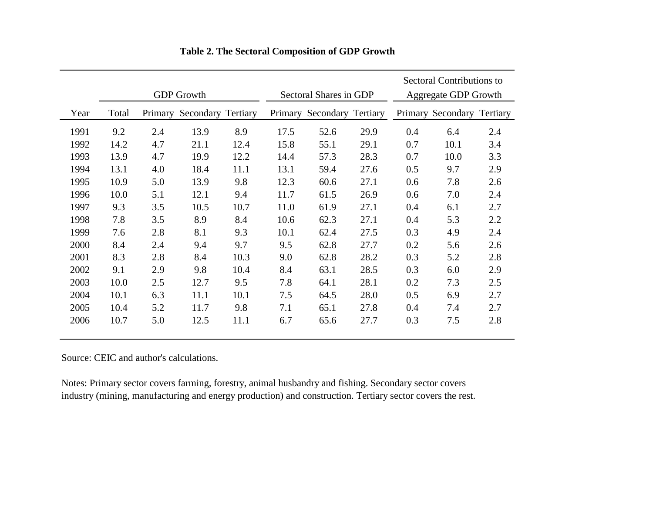|      |       |         |                           |      |      |                            |      | Sectoral Contributions to |                            |     |  |
|------|-------|---------|---------------------------|------|------|----------------------------|------|---------------------------|----------------------------|-----|--|
|      |       |         | <b>GDP</b> Growth         |      |      | Sectoral Shares in GDP     |      | Aggregate GDP Growth      |                            |     |  |
| Year | Total | Primary | <b>Secondary Tertiary</b> |      |      | Primary Secondary Tertiary |      |                           | Primary Secondary Tertiary |     |  |
| 1991 | 9.2   | 2.4     | 13.9                      | 8.9  | 17.5 | 52.6                       | 29.9 | 0.4                       | 6.4                        | 2.4 |  |
| 1992 | 14.2  | 4.7     | 21.1                      | 12.4 | 15.8 | 55.1                       | 29.1 | 0.7                       | 10.1                       | 3.4 |  |
| 1993 | 13.9  | 4.7     | 19.9                      | 12.2 | 14.4 | 57.3                       | 28.3 | 0.7                       | 10.0                       | 3.3 |  |
| 1994 | 13.1  | 4.0     | 18.4                      | 11.1 | 13.1 | 59.4                       | 27.6 | 0.5                       | 9.7                        | 2.9 |  |
| 1995 | 10.9  | 5.0     | 13.9                      | 9.8  | 12.3 | 60.6                       | 27.1 | 0.6                       | 7.8                        | 2.6 |  |
| 1996 | 10.0  | 5.1     | 12.1                      | 9.4  | 11.7 | 61.5                       | 26.9 | 0.6                       | 7.0                        | 2.4 |  |
| 1997 | 9.3   | 3.5     | 10.5                      | 10.7 | 11.0 | 61.9                       | 27.1 | 0.4                       | 6.1                        | 2.7 |  |
| 1998 | 7.8   | 3.5     | 8.9                       | 8.4  | 10.6 | 62.3                       | 27.1 | 0.4                       | 5.3                        | 2.2 |  |
| 1999 | 7.6   | 2.8     | 8.1                       | 9.3  | 10.1 | 62.4                       | 27.5 | 0.3                       | 4.9                        | 2.4 |  |
| 2000 | 8.4   | 2.4     | 9.4                       | 9.7  | 9.5  | 62.8                       | 27.7 | 0.2                       | 5.6                        | 2.6 |  |
| 2001 | 8.3   | 2.8     | 8.4                       | 10.3 | 9.0  | 62.8                       | 28.2 | 0.3                       | 5.2                        | 2.8 |  |
| 2002 | 9.1   | 2.9     | 9.8                       | 10.4 | 8.4  | 63.1                       | 28.5 | 0.3                       | 6.0                        | 2.9 |  |
| 2003 | 10.0  | 2.5     | 12.7                      | 9.5  | 7.8  | 64.1                       | 28.1 | 0.2                       | 7.3                        | 2.5 |  |
| 2004 | 10.1  | 6.3     | 11.1                      | 10.1 | 7.5  | 64.5                       | 28.0 | 0.5                       | 6.9                        | 2.7 |  |
| 2005 | 10.4  | 5.2     | 11.7                      | 9.8  | 7.1  | 65.1                       | 27.8 | 0.4                       | 7.4                        | 2.7 |  |
| 2006 | 10.7  | 5.0     | 12.5                      | 11.1 | 6.7  | 65.6                       | 27.7 | 0.3                       | 7.5                        | 2.8 |  |
|      |       |         |                           |      |      |                            |      |                           |                            |     |  |

**Table 2. The Sectoral Composition of GDP Growth**

Source: CEIC and author's calculations.

Notes: Primary sector covers farming, forestry, animal husbandry and fishing. Secondary sector covers industry (mining, manufacturing and energy production) and construction. Tertiary sector covers the rest.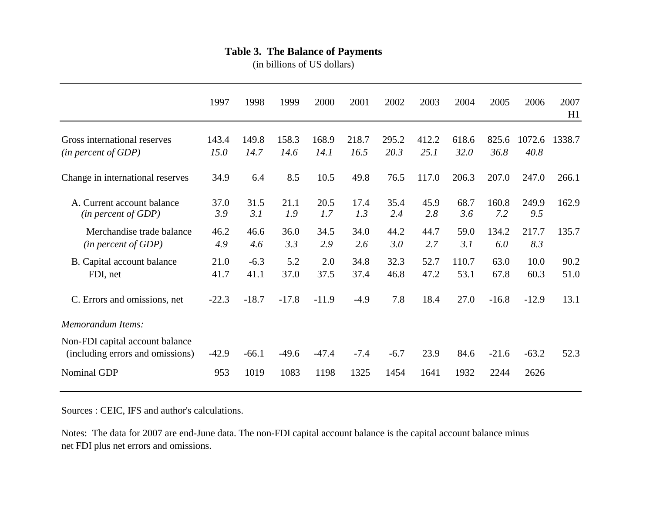# **Table 3. The Balance of Payments**

(in billions of US dollars)

|                                                                     | 1997          | 1998           | 1999          | 2000          | 2001          | 2002          | 2003          | 2004          | 2005          | 2006           | 2007<br>H1   |
|---------------------------------------------------------------------|---------------|----------------|---------------|---------------|---------------|---------------|---------------|---------------|---------------|----------------|--------------|
| Gross international reserves<br>(in percent of GDP)                 | 143.4<br>15.0 | 149.8<br>14.7  | 158.3<br>14.6 | 168.9<br>14.1 | 218.7<br>16.5 | 295.2<br>20.3 | 412.2<br>25.1 | 618.6<br>32.0 | 825.6<br>36.8 | 1072.6<br>40.8 | 1338.7       |
| Change in international reserves                                    | 34.9          | 6.4            | 8.5           | 10.5          | 49.8          | 76.5          | 117.0         | 206.3         | 207.0         | 247.0          | 266.1        |
| A. Current account balance<br>(in percent of GDP)                   | 37.0<br>3.9   | 31.5<br>3.1    | 21.1<br>1.9   | 20.5<br>1.7   | 17.4<br>1.3   | 35.4<br>2.4   | 45.9<br>2.8   | 68.7<br>3.6   | 160.8<br>7.2  | 249.9<br>9.5   | 162.9        |
| Merchandise trade balance<br>(in percent of GDP)                    | 46.2<br>4.9   | 46.6<br>4.6    | 36.0<br>3.3   | 34.5<br>2.9   | 34.0<br>2.6   | 44.2<br>3.0   | 44.7<br>2.7   | 59.0<br>3.1   | 134.2<br>6.0  | 217.7<br>8.3   | 135.7        |
| B. Capital account balance<br>FDI, net                              | 21.0<br>41.7  | $-6.3$<br>41.1 | 5.2<br>37.0   | 2.0<br>37.5   | 34.8<br>37.4  | 32.3<br>46.8  | 52.7<br>47.2  | 110.7<br>53.1 | 63.0<br>67.8  | 10.0<br>60.3   | 90.2<br>51.0 |
| C. Errors and omissions, net                                        | $-22.3$       | $-18.7$        | $-17.8$       | $-11.9$       | $-4.9$        | 7.8           | 18.4          | 27.0          | $-16.8$       | $-12.9$        | 13.1         |
| Memorandum Items:                                                   |               |                |               |               |               |               |               |               |               |                |              |
| Non-FDI capital account balance<br>(including errors and omissions) | $-42.9$       | $-66.1$        | $-49.6$       | $-47.4$       | $-7.4$        | $-6.7$        | 23.9          | 84.6          | $-21.6$       | $-63.2$        | 52.3         |
| Nominal GDP                                                         | 953           | 1019           | 1083          | 1198          | 1325          | 1454          | 1641          | 1932          | 2244          | 2626           |              |

Sources : CEIC, IFS and author's calculations.

Notes: The data for 2007 are end-June data. The non-FDI capital account balance is the capital account balance minus net FDI plus net errors and omissions.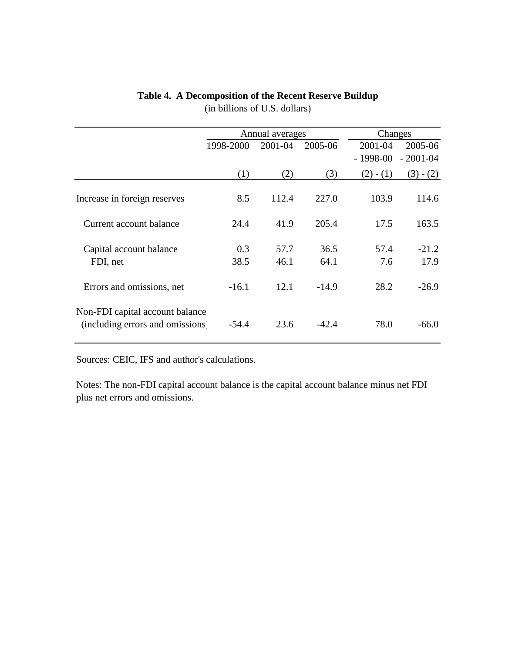|                                                                     |           | Annual averages | Changes |             |              |
|---------------------------------------------------------------------|-----------|-----------------|---------|-------------|--------------|
|                                                                     | 1998-2000 | 2001-04         | 2005-06 | 2001-04     | 2005-06      |
|                                                                     |           |                 |         | $-1998-00$  | $-2001 - 04$ |
|                                                                     | (1)       | (2)             | (3)     | $(2) - (1)$ | $(3) - (2)$  |
| Increase in foreign reserves                                        | 8.5       | 112.4           | 227.0   | 103.9       | 114.6        |
| Current account balance                                             | 24.4      | 41.9            | 205.4   | 17.5        | 163.5        |
| Capital account balance                                             | 0.3       | 57.7            | 36.5    | 57.4        | $-21.2$      |
| FDI, net                                                            | 38.5      | 46.1            | 64.1    | 7.6         | 17.9         |
| Errors and omissions, net                                           | $-16.1$   | 12.1            | $-14.9$ | 28.2        | $-26.9$      |
| Non-FDI capital account balance<br>(including errors and omissions) | $-54.4$   | 23.6            | $-42.4$ | 78.0        | $-66.0$      |

## **Table 4. A Decomposition of the Recent Reserve Buildup**

(in billions of U.S. dollars)

Sources: CEIC, IFS and author's calculations.

Notes: The non-FDI capital account balance is the capital account balance minus net FDI plus net errors and omissions.